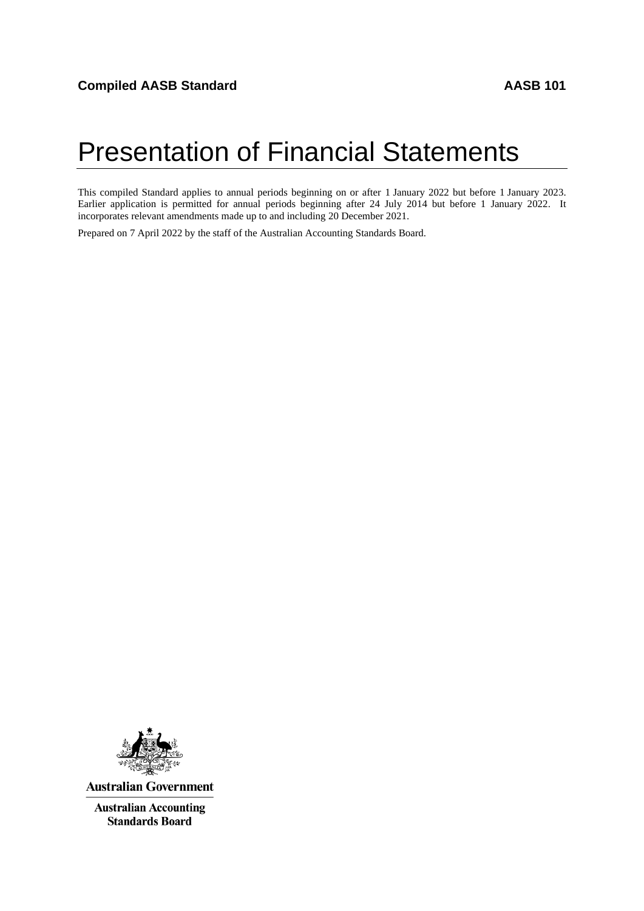# Presentation of Financial Statements

This compiled Standard applies to annual periods beginning on or after 1 January 2022 but before 1 January 2023. Earlier application is permitted for annual periods beginning after 24 July 2014 but before 1 January 2022. It incorporates relevant amendments made up to and including 20 December 2021.

Prepared on 7 April 2022 by the staff of the Australian Accounting Standards Board.



**Australian Government** 

**Australian Accounting Standards Board**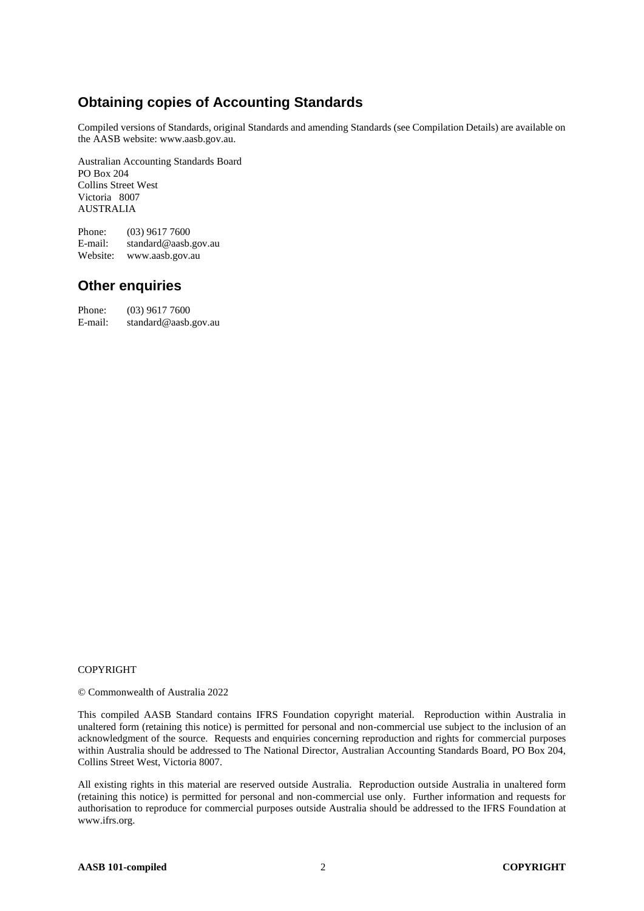# **Obtaining copies of Accounting Standards**

Compiled versions of Standards, original Standards and amending Standards (see Compilation Details) are available on the AASB website: www.aasb.gov.au.

Australian Accounting Standards Board PO Box 204 Collins Street West Victoria 8007 AUSTRALIA

Phone:  $(03)$  9617 7600<br>E-mail: standard@aasb. standard@aasb.gov.au Website: www.aasb.gov.au

# **Other enquiries**

| Phone:  | $(03)$ 9617 7600     |
|---------|----------------------|
| E-mail: | standard@aasb.gov.au |

### COPYRIGHT

© Commonwealth of Australia 2022

This compiled AASB Standard contains IFRS Foundation copyright material. Reproduction within Australia in unaltered form (retaining this notice) is permitted for personal and non-commercial use subject to the inclusion of an acknowledgment of the source. Requests and enquiries concerning reproduction and rights for commercial purposes within Australia should be addressed to The National Director, Australian Accounting Standards Board, PO Box 204, Collins Street West, Victoria 8007.

All existing rights in this material are reserved outside Australia. Reproduction outside Australia in unaltered form (retaining this notice) is permitted for personal and non-commercial use only. Further information and requests for authorisation to reproduce for commercial purposes outside Australia should be addressed to the IFRS Foundation at www.ifrs.org.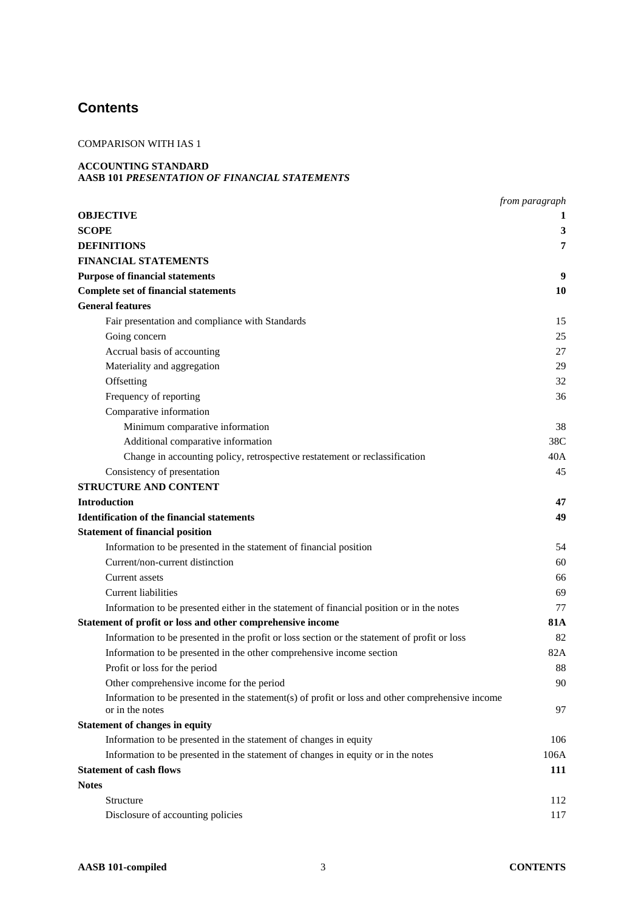# **Contents**

### COMPARISON WITH IAS 1

### **ACCOUNTING STANDARD AASB 101** *PRESENTATION OF FINANCIAL STATEMENTS*

|                                                                                                                     | from paragraph |
|---------------------------------------------------------------------------------------------------------------------|----------------|
| <b>OBJECTIVE</b>                                                                                                    | $\bf{l}$       |
| <b>SCOPE</b>                                                                                                        | 3              |
| <b>DEFINITIONS</b>                                                                                                  | 7              |
| <b>FINANCIAL STATEMENTS</b>                                                                                         |                |
| <b>Purpose of financial statements</b>                                                                              | 9              |
| <b>Complete set of financial statements</b>                                                                         | 10             |
| <b>General features</b>                                                                                             |                |
| Fair presentation and compliance with Standards                                                                     | 15             |
| Going concern                                                                                                       | 25             |
| Accrual basis of accounting                                                                                         | 27             |
| Materiality and aggregation                                                                                         | 29             |
| Offsetting                                                                                                          | 32             |
| Frequency of reporting                                                                                              | 36             |
| Comparative information                                                                                             |                |
| Minimum comparative information                                                                                     | 38             |
| Additional comparative information                                                                                  | 38C            |
| Change in accounting policy, retrospective restatement or reclassification                                          | 40A            |
| Consistency of presentation                                                                                         | 45             |
| <b>STRUCTURE AND CONTENT</b>                                                                                        |                |
| <b>Introduction</b>                                                                                                 | 47             |
| <b>Identification of the financial statements</b>                                                                   | 49             |
| <b>Statement of financial position</b>                                                                              |                |
| Information to be presented in the statement of financial position                                                  | 54             |
| Current/non-current distinction                                                                                     | 60             |
| Current assets                                                                                                      | 66             |
| <b>Current liabilities</b>                                                                                          | 69             |
| Information to be presented either in the statement of financial position or in the notes                           | 77             |
| Statement of profit or loss and other comprehensive income                                                          | 81A            |
| Information to be presented in the profit or loss section or the statement of profit or loss                        | 82             |
| Information to be presented in the other comprehensive income section                                               | 82A            |
| Profit or loss for the period                                                                                       | 88             |
| Other comprehensive income for the period                                                                           | 90             |
| Information to be presented in the statement(s) of profit or loss and other comprehensive income<br>or in the notes | 97             |
| <b>Statement of changes in equity</b>                                                                               |                |
| Information to be presented in the statement of changes in equity                                                   | 106            |
| Information to be presented in the statement of changes in equity or in the notes                                   | 106A           |
| <b>Statement of cash flows</b>                                                                                      | 111            |
| <b>Notes</b>                                                                                                        |                |
| Structure                                                                                                           | 112            |
| Disclosure of accounting policies                                                                                   | 117            |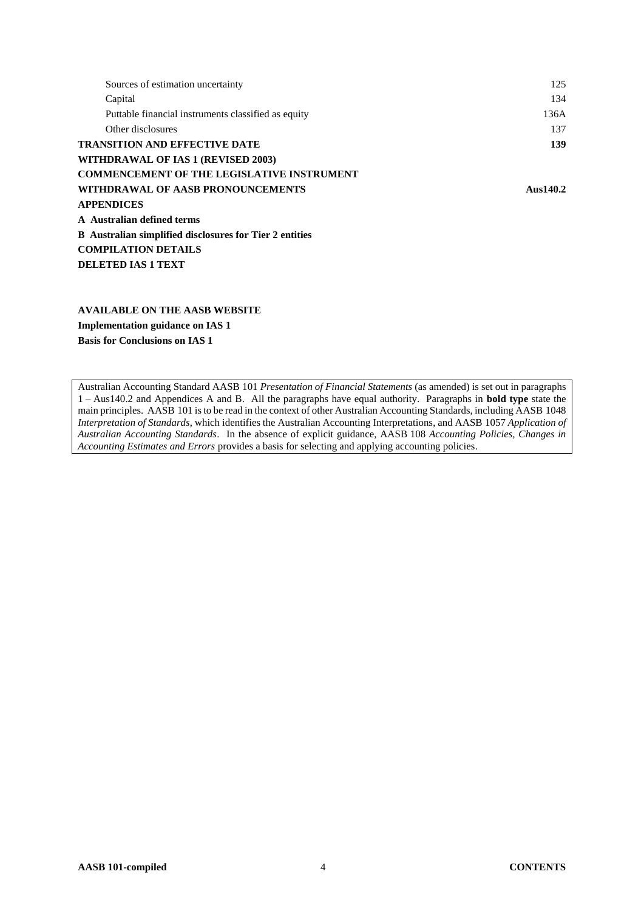| Sources of estimation uncertainty                              | 125      |
|----------------------------------------------------------------|----------|
| Capital                                                        | 134      |
| Puttable financial instruments classified as equity            | 136A     |
| Other disclosures                                              | 137      |
| TRANSITION AND EFFECTIVE DATE                                  | 139      |
| WITHDRAWAL OF IAS 1 (REVISED 2003)                             |          |
| <b>COMMENCEMENT OF THE LEGISLATIVE INSTRUMENT</b>              |          |
| WITHDRAWAL OF AASB PRONOUNCEMENTS                              | Aus140.2 |
| <b>APPENDICES</b>                                              |          |
| A Australian defined terms                                     |          |
| <b>B</b> Australian simplified disclosures for Tier 2 entities |          |
| <b>COMPILATION DETAILS</b>                                     |          |
| DELETED IAS 1 TEXT                                             |          |
|                                                                |          |

**AVAILABLE ON THE AASB WEBSITE Implementation guidance on IAS 1 Basis for Conclusions on IAS 1**

Australian Accounting Standard AASB 101 *Presentation of Financial Statements* (as amended) is set out in paragraphs 1 – Aus140.2 and Appendices A and B. All the paragraphs have equal authority. Paragraphs in **bold type** state the main principles. AASB 101 is to be read in the context of other Australian Accounting Standards, including AASB 1048 *Interpretation of Standards*, which identifies the Australian Accounting Interpretations, and AASB 1057 *Application of Australian Accounting Standards*. In the absence of explicit guidance, AASB 108 *Accounting Policies, Changes in Accounting Estimates and Errors* provides a basis for selecting and applying accounting policies.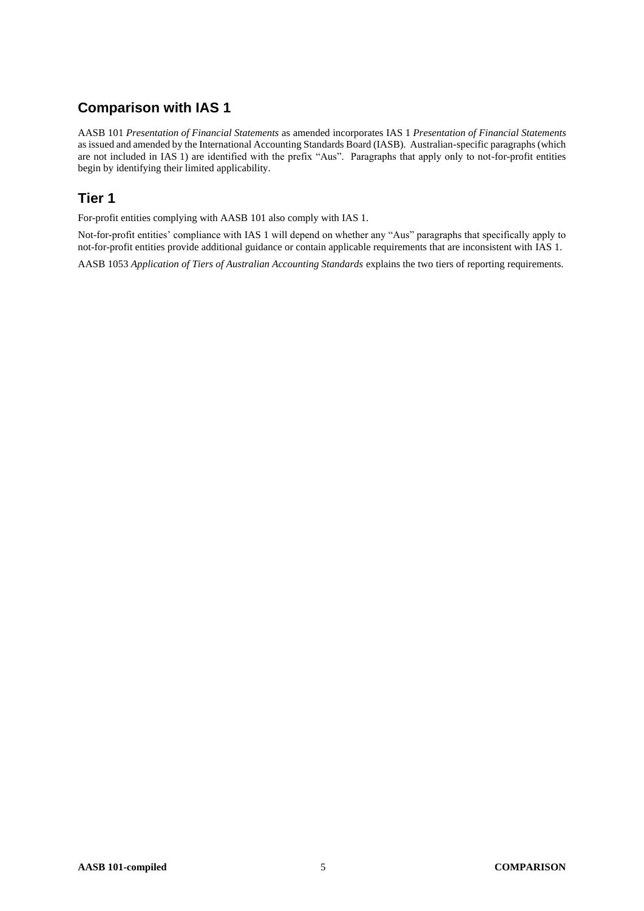# **Comparison with IAS 1**

AASB 101 *Presentation of Financial Statements* as amended incorporates IAS 1 *Presentation of Financial Statements* as issued and amended by the International Accounting Standards Board (IASB). Australian-specific paragraphs (which are not included in IAS 1) are identified with the prefix "Aus". Paragraphs that apply only to not-for-profit entities begin by identifying their limited applicability.

# **Tier 1**

For-profit entities complying with AASB 101 also comply with IAS 1.

Not-for-profit entities' compliance with IAS 1 will depend on whether any "Aus" paragraphs that specifically apply to not-for-profit entities provide additional guidance or contain applicable requirements that are inconsistent with IAS 1.

AASB 1053 *Application of Tiers of Australian Accounting Standards* explains the two tiers of reporting requirements.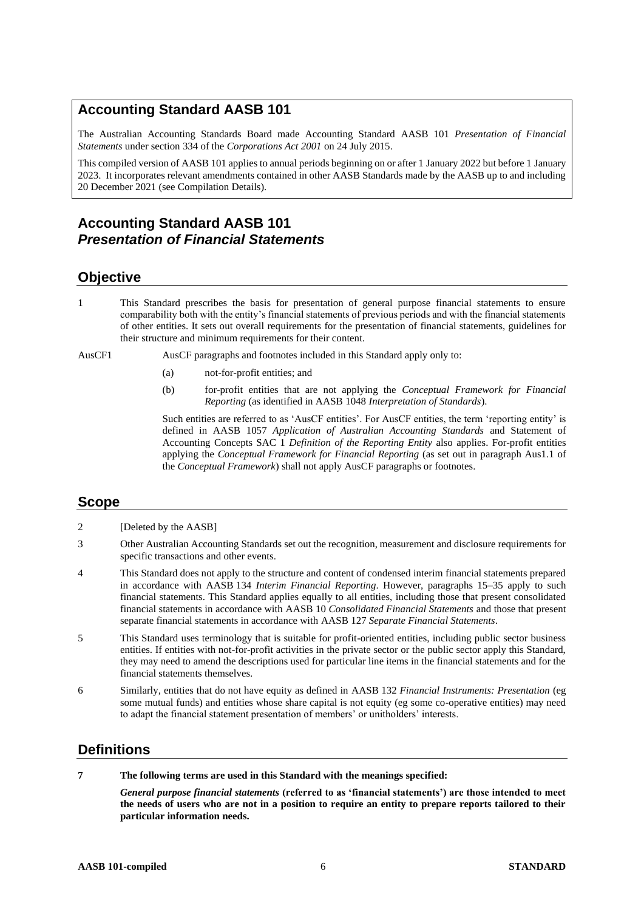# **Accounting Standard AASB 101**

The Australian Accounting Standards Board made Accounting Standard AASB 101 *Presentation of Financial Statements* under section 334 of the *Corporations Act 2001* on 24 July 2015.

This compiled version of AASB 101 applies to annual periods beginning on or after 1 January 2022 but before 1 January 2023. It incorporates relevant amendments contained in other AASB Standards made by the AASB up to and including 20 December 2021 (see Compilation Details).

# **Accounting Standard AASB 101** *Presentation of Financial Statements*

# **Objective**

1 This Standard prescribes the basis for presentation of general purpose financial statements to ensure comparability both with the entity's financial statements of previous periods and with the financial statements of other entities. It sets out overall requirements for the presentation of financial statements, guidelines for their structure and minimum requirements for their content.

- AusCF1 AusCF paragraphs and footnotes included in this Standard apply only to:
	- (a) not-for-profit entities; and
	- (b) for-profit entities that are not applying the *Conceptual Framework for Financial Reporting* (as identified in AASB 1048 *Interpretation of Standards*).

Such entities are referred to as 'AusCF entities'. For AusCF entities, the term 'reporting entity' is defined in AASB 1057 *Application of Australian Accounting Standards* and Statement of Accounting Concepts SAC 1 *Definition of the Reporting Entity* also applies. For-profit entities applying the *Conceptual Framework for Financial Reporting* (as set out in paragraph Aus1.1 of the *Conceptual Framework*) shall not apply AusCF paragraphs or footnotes.

# **Scope**

- 2 [Deleted by the AASB]
- 3 Other Australian Accounting Standards set out the recognition, measurement and disclosure requirements for specific transactions and other events.
- 4 This Standard does not apply to the structure and content of condensed interim financial statements prepared in accordance with AASB 134 *Interim Financial Reporting*. However, paragraphs 15–35 apply to such financial statements. This Standard applies equally to all entities, including those that present consolidated financial statements in accordance with AASB 10 *Consolidated Financial Statements* and those that present separate financial statements in accordance with AASB 127 *Separate Financial Statements*.
- 5 This Standard uses terminology that is suitable for profit-oriented entities, including public sector business entities. If entities with not-for-profit activities in the private sector or the public sector apply this Standard, they may need to amend the descriptions used for particular line items in the financial statements and for the financial statements themselves.
- 6 Similarly, entities that do not have equity as defined in AASB 132 *Financial Instruments: Presentation* (eg some mutual funds) and entities whose share capital is not equity (eg some co-operative entities) may need to adapt the financial statement presentation of members' or unitholders' interests.

# **Definitions**

**7 The following terms are used in this Standard with the meanings specified:**

*General purpose financial statements* **(referred to as 'financial statements') are those intended to meet the needs of users who are not in a position to require an entity to prepare reports tailored to their particular information needs.**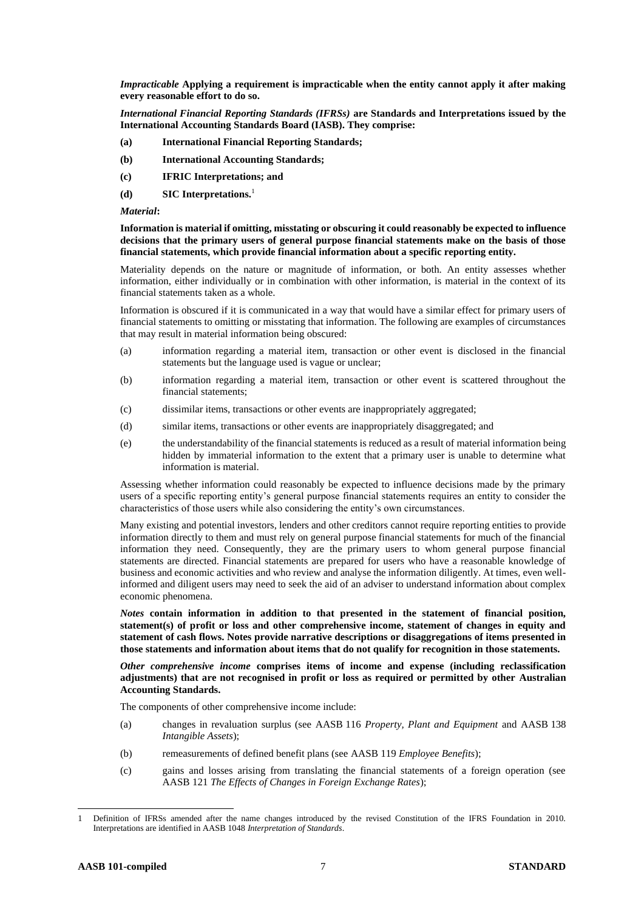*Impracticable* **Applying a requirement is impracticable when the entity cannot apply it after making every reasonable effort to do so.**

*International Financial Reporting Standards (IFRSs)* **are Standards and Interpretations issued by the International Accounting Standards Board (IASB). They comprise:**

- **(a) International Financial Reporting Standards;**
- **(b) International Accounting Standards;**
- **(c) IFRIC Interpretations; and**
- **(d) SIC Interpretations.**<sup>1</sup>

#### *Material***:**

**Information is material if omitting, misstating or obscuring it could reasonably be expected to influence decisions that the primary users of general purpose financial statements make on the basis of those financial statements, which provide financial information about a specific reporting entity.**

Materiality depends on the nature or magnitude of information, or both. An entity assesses whether information, either individually or in combination with other information, is material in the context of its financial statements taken as a whole.

Information is obscured if it is communicated in a way that would have a similar effect for primary users of financial statements to omitting or misstating that information. The following are examples of circumstances that may result in material information being obscured:

- (a) information regarding a material item, transaction or other event is disclosed in the financial statements but the language used is vague or unclear;
- (b) information regarding a material item, transaction or other event is scattered throughout the financial statements;
- (c) dissimilar items, transactions or other events are inappropriately aggregated;
- (d) similar items, transactions or other events are inappropriately disaggregated; and
- (e) the understandability of the financial statements is reduced as a result of material information being hidden by immaterial information to the extent that a primary user is unable to determine what information is material.

Assessing whether information could reasonably be expected to influence decisions made by the primary users of a specific reporting entity's general purpose financial statements requires an entity to consider the characteristics of those users while also considering the entity's own circumstances.

Many existing and potential investors, lenders and other creditors cannot require reporting entities to provide information directly to them and must rely on general purpose financial statements for much of the financial information they need. Consequently, they are the primary users to whom general purpose financial statements are directed. Financial statements are prepared for users who have a reasonable knowledge of business and economic activities and who review and analyse the information diligently. At times, even wellinformed and diligent users may need to seek the aid of an adviser to understand information about complex economic phenomena.

*Notes* **contain information in addition to that presented in the statement of financial position, statement(s) of profit or loss and other comprehensive income, statement of changes in equity and statement of cash flows. Notes provide narrative descriptions or disaggregations of items presented in those statements and information about items that do not qualify for recognition in those statements.**

*Other comprehensive income* **comprises items of income and expense (including reclassification adjustments) that are not recognised in profit or loss as required or permitted by other Australian Accounting Standards.**

The components of other comprehensive income include:

- (a) changes in revaluation surplus (see AASB 116 *Property, Plant and Equipment* and AASB 138 *Intangible Assets*);
- (b) remeasurements of defined benefit plans (see AASB 119 *Employee Benefits*);
- (c) gains and losses arising from translating the financial statements of a foreign operation (see AASB 121 *The Effects of Changes in Foreign Exchange Rates*);

<sup>1</sup> Definition of IFRSs amended after the name changes introduced by the revised Constitution of the IFRS Foundation in 2010. Interpretations are identified in AASB 1048 *Interpretation of Standards*.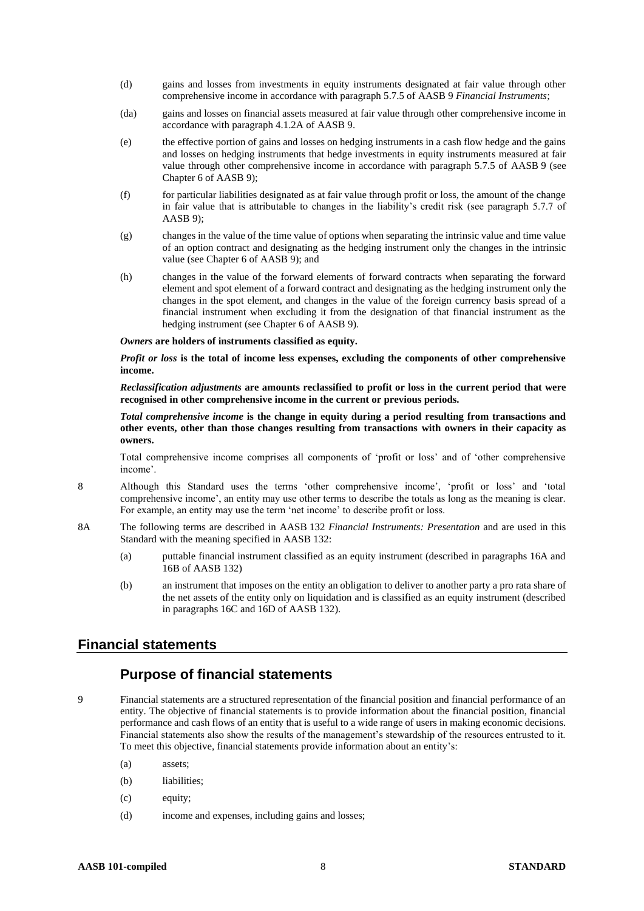- (d) gains and losses from investments in equity instruments designated at fair value through other comprehensive income in accordance with paragraph 5.7.5 of AASB 9 *Financial Instruments*;
- (da) gains and losses on financial assets measured at fair value through other comprehensive income in accordance with paragraph 4.1.2A of AASB 9.
- (e) the effective portion of gains and losses on hedging instruments in a cash flow hedge and the gains and losses on hedging instruments that hedge investments in equity instruments measured at fair value through other comprehensive income in accordance with paragraph 5.7.5 of AASB 9 (see Chapter 6 of AASB 9);
- (f) for particular liabilities designated as at fair value through profit or loss, the amount of the change in fair value that is attributable to changes in the liability's credit risk (see paragraph 5.7.7 of  $AASB$  9):
- (g) changes in the value of the time value of options when separating the intrinsic value and time value of an option contract and designating as the hedging instrument only the changes in the intrinsic value (see Chapter 6 of AASB 9); and
- (h) changes in the value of the forward elements of forward contracts when separating the forward element and spot element of a forward contract and designating as the hedging instrument only the changes in the spot element, and changes in the value of the foreign currency basis spread of a financial instrument when excluding it from the designation of that financial instrument as the hedging instrument (see Chapter 6 of AASB 9).

#### *Owners* **are holders of instruments classified as equity.**

#### *Profit or loss* **is the total of income less expenses, excluding the components of other comprehensive income.**

*Reclassification adjustments* **are amounts reclassified to profit or loss in the current period that were recognised in other comprehensive income in the current or previous periods.**

*Total comprehensive income* **is the change in equity during a period resulting from transactions and other events, other than those changes resulting from transactions with owners in their capacity as owners.**

Total comprehensive income comprises all components of 'profit or loss' and of 'other comprehensive income'.

- 8 Although this Standard uses the terms 'other comprehensive income', 'profit or loss' and 'total comprehensive income', an entity may use other terms to describe the totals as long as the meaning is clear. For example, an entity may use the term 'net income' to describe profit or loss.
- 8A The following terms are described in AASB 132 *Financial Instruments: Presentation* and are used in this Standard with the meaning specified in AASB 132:
	- (a) puttable financial instrument classified as an equity instrument (described in paragraphs 16A and 16B of AASB 132)
	- (b) an instrument that imposes on the entity an obligation to deliver to another party a pro rata share of the net assets of the entity only on liquidation and is classified as an equity instrument (described in paragraphs 16C and 16D of AASB 132).

## **Financial statements**

## **Purpose of financial statements**

- 9 Financial statements are a structured representation of the financial position and financial performance of an entity. The objective of financial statements is to provide information about the financial position, financial performance and cash flows of an entity that is useful to a wide range of users in making economic decisions. Financial statements also show the results of the management's stewardship of the resources entrusted to it. To meet this objective, financial statements provide information about an entity's:
	- (a) assets;
	- (b) liabilities:
	- (c) equity;
	- (d) income and expenses, including gains and losses;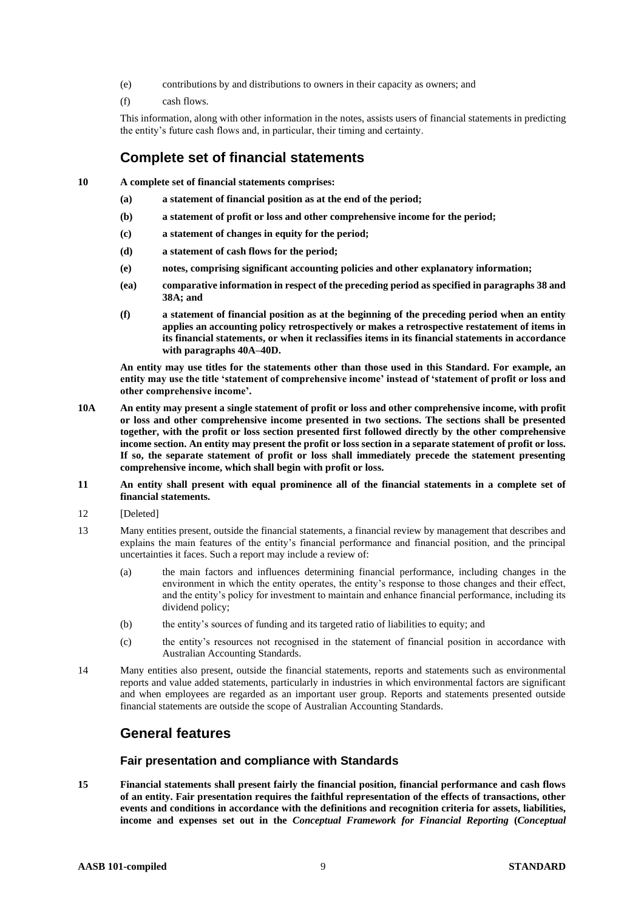- (e) contributions by and distributions to owners in their capacity as owners; and
- (f) cash flows.

This information, along with other information in the notes, assists users of financial statements in predicting the entity's future cash flows and, in particular, their timing and certainty.

# **Complete set of financial statements**

- **10 A complete set of financial statements comprises:**
	- **(a) a statement of financial position as at the end of the period;**
	- **(b) a statement of profit or loss and other comprehensive income for the period;**
	- **(c) a statement of changes in equity for the period;**
	- **(d) a statement of cash flows for the period;**
	- **(e) notes, comprising significant accounting policies and other explanatory information;**
	- **(ea) comparative information in respect of the preceding period as specified in paragraphs 38 and 38A; and**
	- **(f) a statement of financial position as at the beginning of the preceding period when an entity applies an accounting policy retrospectively or makes a retrospective restatement of items in its financial statements, or when it reclassifies items in its financial statements in accordance with paragraphs 40A–40D.**

**An entity may use titles for the statements other than those used in this Standard. For example, an entity may use the title 'statement of comprehensive income' instead of 'statement of profit or loss and other comprehensive income'.**

- **10A An entity may present a single statement of profit or loss and other comprehensive income, with profit or loss and other comprehensive income presented in two sections. The sections shall be presented together, with the profit or loss section presented first followed directly by the other comprehensive income section. An entity may present the profit or loss section in a separate statement of profit or loss. If so, the separate statement of profit or loss shall immediately precede the statement presenting comprehensive income, which shall begin with profit or loss.**
- **11 An entity shall present with equal prominence all of the financial statements in a complete set of financial statements.**
- 12 [Deleted]
- 13 Many entities present, outside the financial statements, a financial review by management that describes and explains the main features of the entity's financial performance and financial position, and the principal uncertainties it faces. Such a report may include a review of:
	- (a) the main factors and influences determining financial performance, including changes in the environment in which the entity operates, the entity's response to those changes and their effect, and the entity's policy for investment to maintain and enhance financial performance, including its dividend policy;
	- (b) the entity's sources of funding and its targeted ratio of liabilities to equity; and
	- (c) the entity's resources not recognised in the statement of financial position in accordance with Australian Accounting Standards.
- 14 Many entities also present, outside the financial statements, reports and statements such as environmental reports and value added statements, particularly in industries in which environmental factors are significant and when employees are regarded as an important user group. Reports and statements presented outside financial statements are outside the scope of Australian Accounting Standards.

## **General features**

#### **Fair presentation and compliance with Standards**

**15 Financial statements shall present fairly the financial position, financial performance and cash flows of an entity. Fair presentation requires the faithful representation of the effects of transactions, other events and conditions in accordance with the definitions and recognition criteria for assets, liabilities, income and expenses set out in the** *Conceptual Framework for Financial Reporting* **(***Conceptual*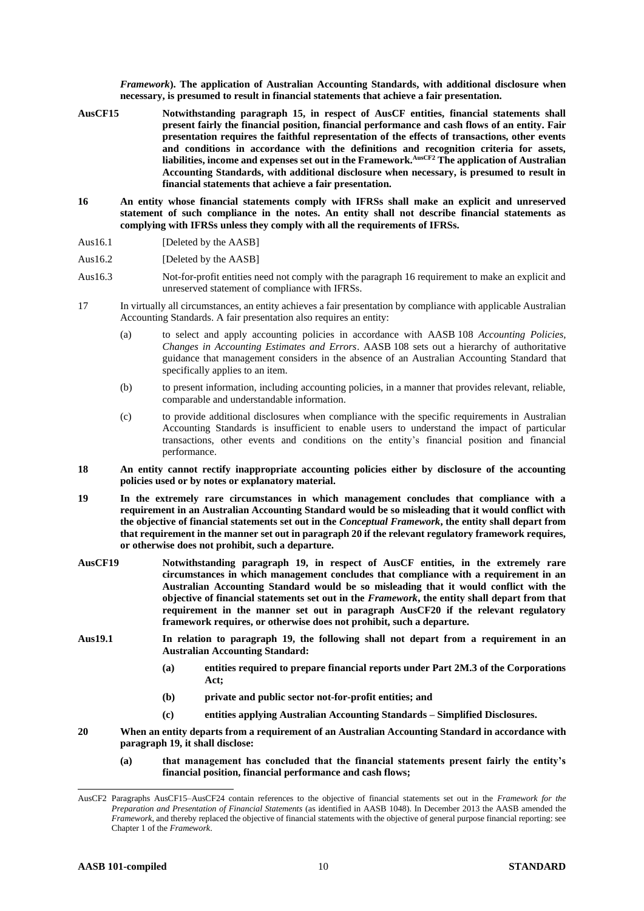*Framework***). The application of Australian Accounting Standards, with additional disclosure when necessary, is presumed to result in financial statements that achieve a fair presentation.**

- **AusCF15 Notwithstanding paragraph 15, in respect of AusCF entities, financial statements shall present fairly the financial position, financial performance and cash flows of an entity. Fair presentation requires the faithful representation of the effects of transactions, other events and conditions in accordance with the definitions and recognition criteria for assets, liabilities, income and expenses set out in the Framework.AusCF2 The application of Australian Accounting Standards, with additional disclosure when necessary, is presumed to result in financial statements that achieve a fair presentation.**
- **16 An entity whose financial statements comply with IFRSs shall make an explicit and unreserved statement of such compliance in the notes. An entity shall not describe financial statements as complying with IFRSs unless they comply with all the requirements of IFRSs.**
- Aus16.1 [Deleted by the AASB]
- Aus16.2 [Deleted by the AASB]
- Aus16.3 Not-for-profit entities need not comply with the paragraph 16 requirement to make an explicit and unreserved statement of compliance with IFRSs.
- 17 In virtually all circumstances, an entity achieves a fair presentation by compliance with applicable Australian Accounting Standards. A fair presentation also requires an entity:
	- (a) to select and apply accounting policies in accordance with AASB 108 *Accounting Policies, Changes in Accounting Estimates and Errors*. AASB 108 sets out a hierarchy of authoritative guidance that management considers in the absence of an Australian Accounting Standard that specifically applies to an item.
	- (b) to present information, including accounting policies, in a manner that provides relevant, reliable, comparable and understandable information.
	- (c) to provide additional disclosures when compliance with the specific requirements in Australian Accounting Standards is insufficient to enable users to understand the impact of particular transactions, other events and conditions on the entity's financial position and financial performance.
- **18 An entity cannot rectify inappropriate accounting policies either by disclosure of the accounting policies used or by notes or explanatory material.**
- **19 In the extremely rare circumstances in which management concludes that compliance with a requirement in an Australian Accounting Standard would be so misleading that it would conflict with the objective of financial statements set out in the** *Conceptual Framework***, the entity shall depart from that requirement in the manner set out in paragraph 20 if the relevant regulatory framework requires, or otherwise does not prohibit, such a departure.**
- **AusCF19 Notwithstanding paragraph 19, in respect of AusCF entities, in the extremely rare circumstances in which management concludes that compliance with a requirement in an Australian Accounting Standard would be so misleading that it would conflict with the objective of financial statements set out in the** *Framework***, the entity shall depart from that requirement in the manner set out in paragraph AusCF20 if the relevant regulatory framework requires, or otherwise does not prohibit, such a departure.**
- **Aus19.1 In relation to paragraph 19, the following shall not depart from a requirement in an Australian Accounting Standard:**
	- **(a) entities required to prepare financial reports under Part 2M.3 of the Corporations Act;**
	- **(b) private and public sector not-for-profit entities; and**
	- **(c) entities applying Australian Accounting Standards – Simplified Disclosures.**
- **20 When an entity departs from a requirement of an Australian Accounting Standard in accordance with paragraph 19, it shall disclose:**
	- **(a) that management has concluded that the financial statements present fairly the entity's financial position, financial performance and cash flows;**

AusCF2 Paragraphs AusCF15–AusCF24 contain references to the objective of financial statements set out in the *Framework for the Preparation and Presentation of Financial Statements* (as identified in AASB 1048). In December 2013 the AASB amended the *Framework*, and thereby replaced the objective of financial statements with the objective of general purpose financial reporting: see Chapter 1 of the *Framework*.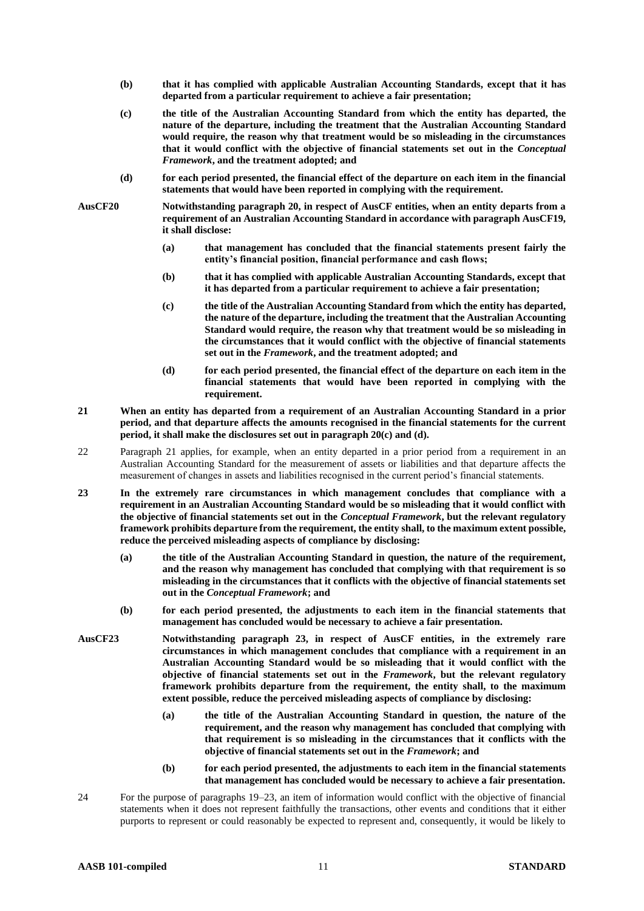- **(b) that it has complied with applicable Australian Accounting Standards, except that it has departed from a particular requirement to achieve a fair presentation;**
- **(c) the title of the Australian Accounting Standard from which the entity has departed, the nature of the departure, including the treatment that the Australian Accounting Standard would require, the reason why that treatment would be so misleading in the circumstances that it would conflict with the objective of financial statements set out in the** *Conceptual Framework***, and the treatment adopted; and**
- **(d) for each period presented, the financial effect of the departure on each item in the financial statements that would have been reported in complying with the requirement.**
- **AusCF20 Notwithstanding paragraph 20, in respect of AusCF entities, when an entity departs from a requirement of an Australian Accounting Standard in accordance with paragraph AusCF19, it shall disclose:**
	- **(a) that management has concluded that the financial statements present fairly the entity's financial position, financial performance and cash flows;**
	- **(b) that it has complied with applicable Australian Accounting Standards, except that it has departed from a particular requirement to achieve a fair presentation;**
	- **(c) the title of the Australian Accounting Standard from which the entity has departed, the nature of the departure, including the treatment that the Australian Accounting Standard would require, the reason why that treatment would be so misleading in the circumstances that it would conflict with the objective of financial statements set out in the** *Framework***, and the treatment adopted; and**
	- **(d) for each period presented, the financial effect of the departure on each item in the financial statements that would have been reported in complying with the requirement.**
- **21 When an entity has departed from a requirement of an Australian Accounting Standard in a prior period, and that departure affects the amounts recognised in the financial statements for the current period, it shall make the disclosures set out in paragraph 20(c) and (d).**
- 22 Paragraph 21 applies, for example, when an entity departed in a prior period from a requirement in an Australian Accounting Standard for the measurement of assets or liabilities and that departure affects the measurement of changes in assets and liabilities recognised in the current period's financial statements.
- **23 In the extremely rare circumstances in which management concludes that compliance with a requirement in an Australian Accounting Standard would be so misleading that it would conflict with the objective of financial statements set out in the** *Conceptual Framework***, but the relevant regulatory framework prohibits departure from the requirement, the entity shall, to the maximum extent possible, reduce the perceived misleading aspects of compliance by disclosing:**
	- **(a) the title of the Australian Accounting Standard in question, the nature of the requirement, and the reason why management has concluded that complying with that requirement is so misleading in the circumstances that it conflicts with the objective of financial statements set out in the** *Conceptual Framework***; and**
	- **(b) for each period presented, the adjustments to each item in the financial statements that management has concluded would be necessary to achieve a fair presentation.**
- **AusCF23 Notwithstanding paragraph 23, in respect of AusCF entities, in the extremely rare circumstances in which management concludes that compliance with a requirement in an Australian Accounting Standard would be so misleading that it would conflict with the objective of financial statements set out in the** *Framework***, but the relevant regulatory framework prohibits departure from the requirement, the entity shall, to the maximum extent possible, reduce the perceived misleading aspects of compliance by disclosing:**
	- **(a) the title of the Australian Accounting Standard in question, the nature of the requirement, and the reason why management has concluded that complying with that requirement is so misleading in the circumstances that it conflicts with the objective of financial statements set out in the** *Framework***; and**
	- **(b) for each period presented, the adjustments to each item in the financial statements that management has concluded would be necessary to achieve a fair presentation.**
- 24 For the purpose of paragraphs 19–23, an item of information would conflict with the objective of financial statements when it does not represent faithfully the transactions, other events and conditions that it either purports to represent or could reasonably be expected to represent and, consequently, it would be likely to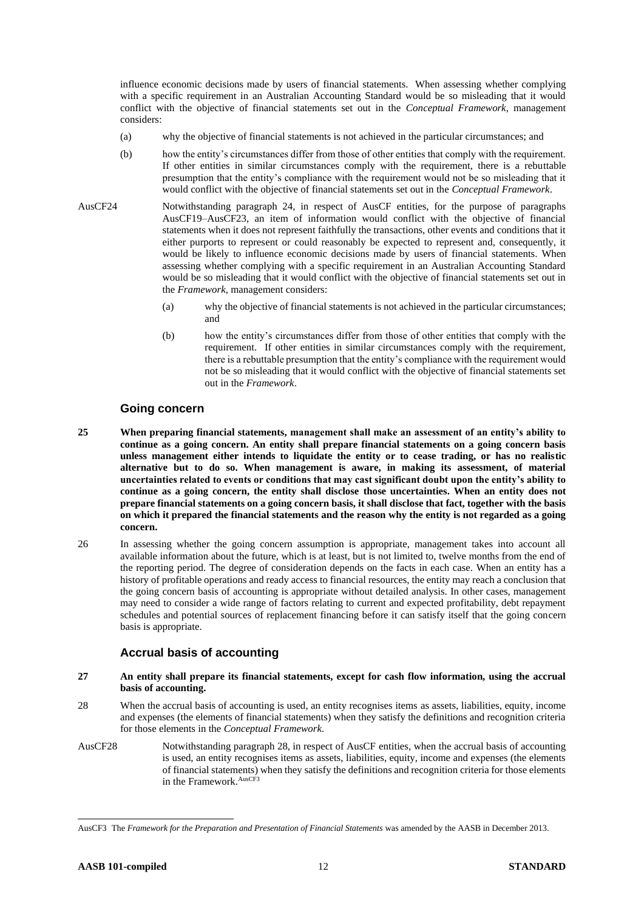influence economic decisions made by users of financial statements. When assessing whether complying with a specific requirement in an Australian Accounting Standard would be so misleading that it would conflict with the objective of financial statements set out in the *Conceptual Framework*, management considers:

- (a) why the objective of financial statements is not achieved in the particular circumstances; and
- (b) how the entity's circumstances differ from those of other entities that comply with the requirement. If other entities in similar circumstances comply with the requirement, there is a rebuttable presumption that the entity's compliance with the requirement would not be so misleading that it would conflict with the objective of financial statements set out in the *Conceptual Framework*.
- AusCF24 Notwithstanding paragraph 24, in respect of AusCF entities, for the purpose of paragraphs AusCF19–AusCF23, an item of information would conflict with the objective of financial statements when it does not represent faithfully the transactions, other events and conditions that it either purports to represent or could reasonably be expected to represent and, consequently, it would be likely to influence economic decisions made by users of financial statements. When assessing whether complying with a specific requirement in an Australian Accounting Standard would be so misleading that it would conflict with the objective of financial statements set out in the *Framework*, management considers:
	- (a) why the objective of financial statements is not achieved in the particular circumstances; and
	- (b) how the entity's circumstances differ from those of other entities that comply with the requirement. If other entities in similar circumstances comply with the requirement, there is a rebuttable presumption that the entity's compliance with the requirement would not be so misleading that it would conflict with the objective of financial statements set out in the *Framework*.

### **Going concern**

- **25 When preparing financial statements, management shall make an assessment of an entity's ability to continue as a going concern. An entity shall prepare financial statements on a going concern basis unless management either intends to liquidate the entity or to cease trading, or has no realistic alternative but to do so. When management is aware, in making its assessment, of material uncertainties related to events or conditions that may cast significant doubt upon the entity's ability to continue as a going concern, the entity shall disclose those uncertainties. When an entity does not prepare financial statements on a going concern basis, it shall disclose that fact, together with the basis on which it prepared the financial statements and the reason why the entity is not regarded as a going concern.**
- 26 In assessing whether the going concern assumption is appropriate, management takes into account all available information about the future, which is at least, but is not limited to, twelve months from the end of the reporting period. The degree of consideration depends on the facts in each case. When an entity has a history of profitable operations and ready access to financial resources, the entity may reach a conclusion that the going concern basis of accounting is appropriate without detailed analysis. In other cases, management may need to consider a wide range of factors relating to current and expected profitability, debt repayment schedules and potential sources of replacement financing before it can satisfy itself that the going concern basis is appropriate.

### **Accrual basis of accounting**

#### **27 An entity shall prepare its financial statements, except for cash flow information, using the accrual basis of accounting.**

- 28 When the accrual basis of accounting is used, an entity recognises items as assets, liabilities, equity, income and expenses (the elements of financial statements) when they satisfy the definitions and recognition criteria for those elements in the *Conceptual Framework*.
- AusCF28 Notwithstanding paragraph 28, in respect of AusCF entities, when the accrual basis of accounting is used, an entity recognises items as assets, liabilities, equity, income and expenses (the elements of financial statements) when they satisfy the definitions and recognition criteria for those elements in the Framework. AusCF3

AusCF3 The *Framework for the Preparation and Presentation of Financial Statements* was amended by the AASB in December 2013.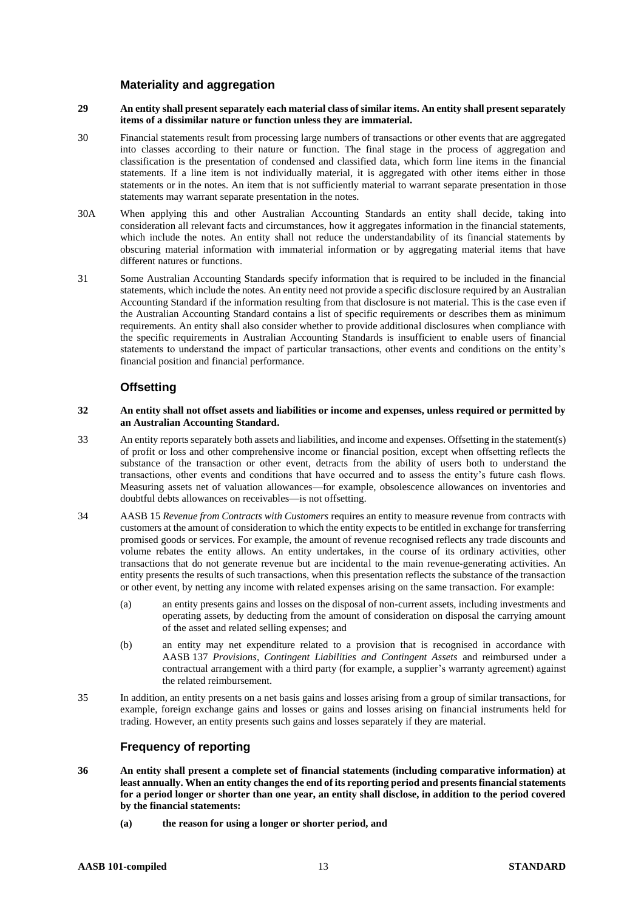### **Materiality and aggregation**

#### **29 An entity shall present separately each material class of similar items. An entity shall present separately items of a dissimilar nature or function unless they are immaterial.**

- 30 Financial statements result from processing large numbers of transactions or other events that are aggregated into classes according to their nature or function. The final stage in the process of aggregation and classification is the presentation of condensed and classified data, which form line items in the financial statements. If a line item is not individually material, it is aggregated with other items either in those statements or in the notes. An item that is not sufficiently material to warrant separate presentation in those statements may warrant separate presentation in the notes.
- 30A When applying this and other Australian Accounting Standards an entity shall decide, taking into consideration all relevant facts and circumstances, how it aggregates information in the financial statements, which include the notes. An entity shall not reduce the understandability of its financial statements by obscuring material information with immaterial information or by aggregating material items that have different natures or functions.
- 31 Some Australian Accounting Standards specify information that is required to be included in the financial statements, which include the notes. An entity need not provide a specific disclosure required by an Australian Accounting Standard if the information resulting from that disclosure is not material. This is the case even if the Australian Accounting Standard contains a list of specific requirements or describes them as minimum requirements. An entity shall also consider whether to provide additional disclosures when compliance with the specific requirements in Australian Accounting Standards is insufficient to enable users of financial statements to understand the impact of particular transactions, other events and conditions on the entity's financial position and financial performance.

## **Offsetting**

#### **32 An entity shall not offset assets and liabilities or income and expenses, unless required or permitted by an Australian Accounting Standard.**

- 33 An entity reports separately both assets and liabilities, and income and expenses. Offsetting in the statement(s) of profit or loss and other comprehensive income or financial position, except when offsetting reflects the substance of the transaction or other event, detracts from the ability of users both to understand the transactions, other events and conditions that have occurred and to assess the entity's future cash flows. Measuring assets net of valuation allowances—for example, obsolescence allowances on inventories and doubtful debts allowances on receivables—is not offsetting.
- 34 AASB 15 *Revenue from Contracts with Customers* requires an entity to measure revenue from contracts with customers at the amount of consideration to which the entity expects to be entitled in exchange for transferring promised goods or services. For example, the amount of revenue recognised reflects any trade discounts and volume rebates the entity allows. An entity undertakes, in the course of its ordinary activities, other transactions that do not generate revenue but are incidental to the main revenue-generating activities. An entity presents the results of such transactions, when this presentation reflects the substance of the transaction or other event, by netting any income with related expenses arising on the same transaction. For example:
	- (a) an entity presents gains and losses on the disposal of non-current assets, including investments and operating assets, by deducting from the amount of consideration on disposal the carrying amount of the asset and related selling expenses; and
	- (b) an entity may net expenditure related to a provision that is recognised in accordance with AASB 137 *Provisions, Contingent Liabilities and Contingent Assets* and reimbursed under a contractual arrangement with a third party (for example, a supplier's warranty agreement) against the related reimbursement.
- 35 In addition, an entity presents on a net basis gains and losses arising from a group of similar transactions, for example, foreign exchange gains and losses or gains and losses arising on financial instruments held for trading. However, an entity presents such gains and losses separately if they are material.

### **Frequency of reporting**

- **36 An entity shall present a complete set of financial statements (including comparative information) at least annually. When an entity changes the end of its reporting period and presents financial statements for a period longer or shorter than one year, an entity shall disclose, in addition to the period covered by the financial statements:**
	- **(a) the reason for using a longer or shorter period, and**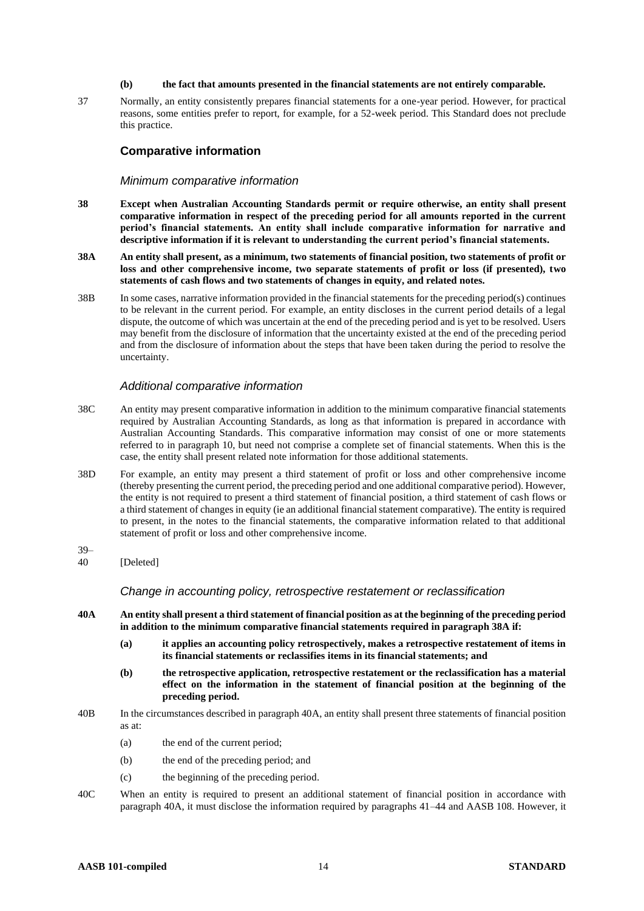#### **(b) the fact that amounts presented in the financial statements are not entirely comparable.**

37 Normally, an entity consistently prepares financial statements for a one-year period. However, for practical reasons, some entities prefer to report, for example, for a 52-week period. This Standard does not preclude this practice.

#### **Comparative information**

#### *Minimum comparative information*

- **38 Except when Australian Accounting Standards permit or require otherwise, an entity shall present comparative information in respect of the preceding period for all amounts reported in the current period's financial statements. An entity shall include comparative information for narrative and descriptive information if it is relevant to understanding the current period's financial statements.**
- **38A An entity shall present, as a minimum, two statements of financial position, two statements of profit or loss and other comprehensive income, two separate statements of profit or loss (if presented), two statements of cash flows and two statements of changes in equity, and related notes.**
- 38B In some cases, narrative information provided in the financial statements for the preceding period(s) continues to be relevant in the current period. For example, an entity discloses in the current period details of a legal dispute, the outcome of which was uncertain at the end of the preceding period and is yet to be resolved. Users may benefit from the disclosure of information that the uncertainty existed at the end of the preceding period and from the disclosure of information about the steps that have been taken during the period to resolve the uncertainty.

#### *Additional comparative information*

- 38C An entity may present comparative information in addition to the minimum comparative financial statements required by Australian Accounting Standards, as long as that information is prepared in accordance with Australian Accounting Standards. This comparative information may consist of one or more statements referred to in paragraph 10, but need not comprise a complete set of financial statements. When this is the case, the entity shall present related note information for those additional statements.
- 38D For example, an entity may present a third statement of profit or loss and other comprehensive income (thereby presenting the current period, the preceding period and one additional comparative period). However, the entity is not required to present a third statement of financial position, a third statement of cash flows or a third statement of changes in equity (ie an additional financial statement comparative). The entity is required to present, in the notes to the financial statements, the comparative information related to that additional statement of profit or loss and other comprehensive income.
- $39-$ <br> $40$
- [Deleted]

*Change in accounting policy, retrospective restatement or reclassification*

- **40A An entity shall present a third statement of financial position as at the beginning of the preceding period in addition to the minimum comparative financial statements required in paragraph 38A if:**
	- **(a) it applies an accounting policy retrospectively, makes a retrospective restatement of items in its financial statements or reclassifies items in its financial statements; and**
	- **(b) the retrospective application, retrospective restatement or the reclassification has a material effect on the information in the statement of financial position at the beginning of the preceding period.**
- 40B In the circumstances described in paragraph 40A, an entity shall present three statements of financial position as at:
	- (a) the end of the current period;
	- (b) the end of the preceding period; and
	- (c) the beginning of the preceding period.
- 40C When an entity is required to present an additional statement of financial position in accordance with paragraph 40A, it must disclose the information required by paragraphs 41–44 and AASB 108. However, it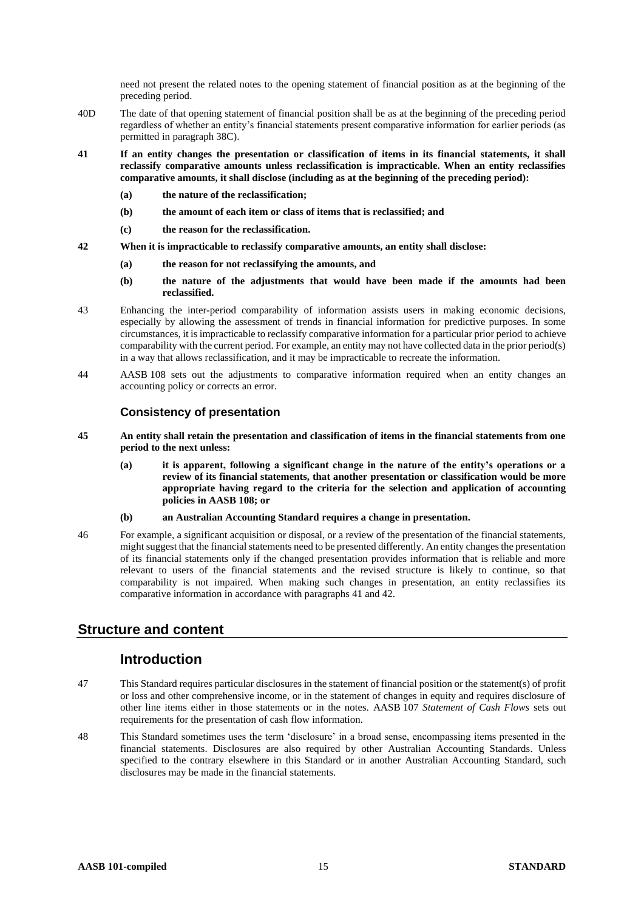need not present the related notes to the opening statement of financial position as at the beginning of the preceding period.

- 40D The date of that opening statement of financial position shall be as at the beginning of the preceding period regardless of whether an entity's financial statements present comparative information for earlier periods (as permitted in paragraph 38C).
- **41 If an entity changes the presentation or classification of items in its financial statements, it shall reclassify comparative amounts unless reclassification is impracticable. When an entity reclassifies comparative amounts, it shall disclose (including as at the beginning of the preceding period):**
	- **(a) the nature of the reclassification;**
	- **(b) the amount of each item or class of items that is reclassified; and**
	- **(c) the reason for the reclassification.**
- **42 When it is impracticable to reclassify comparative amounts, an entity shall disclose:**
	- **(a) the reason for not reclassifying the amounts, and**
	- **(b) the nature of the adjustments that would have been made if the amounts had been reclassified.**
- 43 Enhancing the inter-period comparability of information assists users in making economic decisions, especially by allowing the assessment of trends in financial information for predictive purposes. In some circumstances, it is impracticable to reclassify comparative information for a particular prior period to achieve comparability with the current period. For example, an entity may not have collected data in the prior period(s) in a way that allows reclassification, and it may be impracticable to recreate the information.
- 44 AASB 108 sets out the adjustments to comparative information required when an entity changes an accounting policy or corrects an error.

### **Consistency of presentation**

- **45 An entity shall retain the presentation and classification of items in the financial statements from one period to the next unless:**
	- **(a) it is apparent, following a significant change in the nature of the entity's operations or a review of its financial statements, that another presentation or classification would be more appropriate having regard to the criteria for the selection and application of accounting policies in AASB 108; or**
	- **(b) an Australian Accounting Standard requires a change in presentation.**
- 46 For example, a significant acquisition or disposal, or a review of the presentation of the financial statements, might suggest that the financial statements need to be presented differently. An entity changes the presentation of its financial statements only if the changed presentation provides information that is reliable and more relevant to users of the financial statements and the revised structure is likely to continue, so that comparability is not impaired. When making such changes in presentation, an entity reclassifies its comparative information in accordance with paragraphs 41 and 42.

# **Structure and content**

## **Introduction**

- 47 This Standard requires particular disclosures in the statement of financial position or the statement(s) of profit or loss and other comprehensive income, or in the statement of changes in equity and requires disclosure of other line items either in those statements or in the notes. AASB 107 *Statement of Cash Flows* sets out requirements for the presentation of cash flow information.
- 48 This Standard sometimes uses the term 'disclosure' in a broad sense, encompassing items presented in the financial statements. Disclosures are also required by other Australian Accounting Standards. Unless specified to the contrary elsewhere in this Standard or in another Australian Accounting Standard, such disclosures may be made in the financial statements.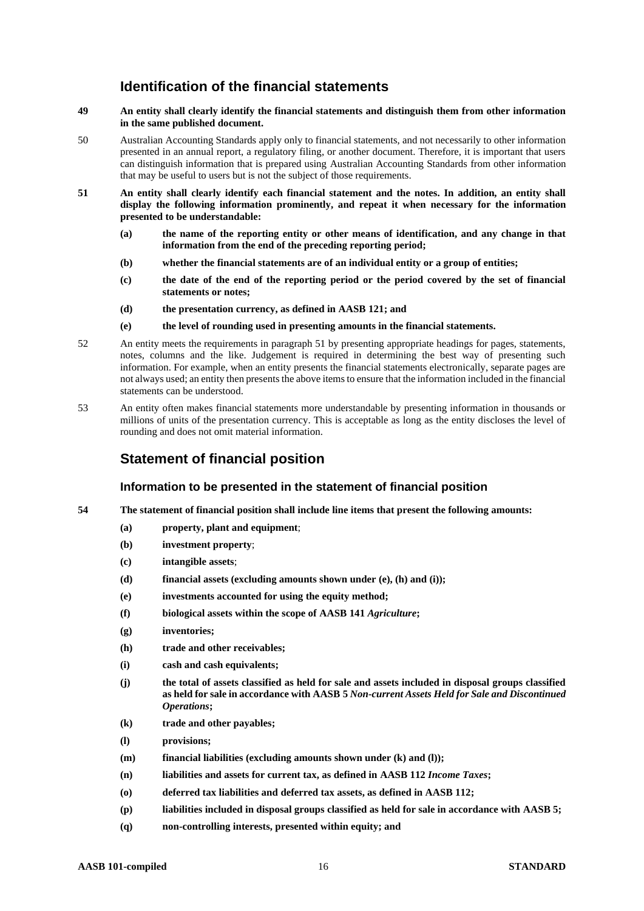# **Identification of the financial statements**

- **49 An entity shall clearly identify the financial statements and distinguish them from other information in the same published document.**
- 50 Australian Accounting Standards apply only to financial statements, and not necessarily to other information presented in an annual report, a regulatory filing, or another document. Therefore, it is important that users can distinguish information that is prepared using Australian Accounting Standards from other information that may be useful to users but is not the subject of those requirements.
- **51 An entity shall clearly identify each financial statement and the notes. In addition, an entity shall display the following information prominently, and repeat it when necessary for the information presented to be understandable:**
	- **(a) the name of the reporting entity or other means of identification, and any change in that information from the end of the preceding reporting period;**
	- **(b) whether the financial statements are of an individual entity or a group of entities;**
	- **(c) the date of the end of the reporting period or the period covered by the set of financial statements or notes;**
	- **(d) the presentation currency, as defined in AASB 121; and**
	- **(e) the level of rounding used in presenting amounts in the financial statements.**
- 52 An entity meets the requirements in paragraph 51 by presenting appropriate headings for pages, statements, notes, columns and the like. Judgement is required in determining the best way of presenting such information. For example, when an entity presents the financial statements electronically, separate pages are not always used; an entity then presents the above items to ensure that the information included in the financial statements can be understood.
- 53 An entity often makes financial statements more understandable by presenting information in thousands or millions of units of the presentation currency. This is acceptable as long as the entity discloses the level of rounding and does not omit material information.

# **Statement of financial position**

#### **Information to be presented in the statement of financial position**

- **54 The statement of financial position shall include line items that present the following amounts:**
	- **(a) property, plant and equipment**;
	- **(b) investment property**;
	- **(c) intangible assets**;
	- **(d) financial assets (excluding amounts shown under (e), (h) and (i));**
	- **(e) investments accounted for using the equity method;**
	- **(f) biological assets within the scope of AASB 141** *Agriculture***;**
	- **(g) inventories;**
	- **(h) trade and other receivables;**
	- **(i) cash and cash equivalents;**
	- **(j) the total of assets classified as held for sale and assets included in disposal groups classified as held for sale in accordance with AASB 5** *Non-current Assets Held for Sale and Discontinued Operations***;**
	- **(k) trade and other payables;**
	- **(l) provisions;**
	- **(m) financial liabilities (excluding amounts shown under (k) and (l));**
	- **(n) liabilities and assets for current tax, as defined in AASB 112** *Income Taxes***;**
	- **(o) deferred tax liabilities and deferred tax assets, as defined in AASB 112;**
	- **(p) liabilities included in disposal groups classified as held for sale in accordance with AASB 5;**
	- **(q) non-controlling interests, presented within equity; and**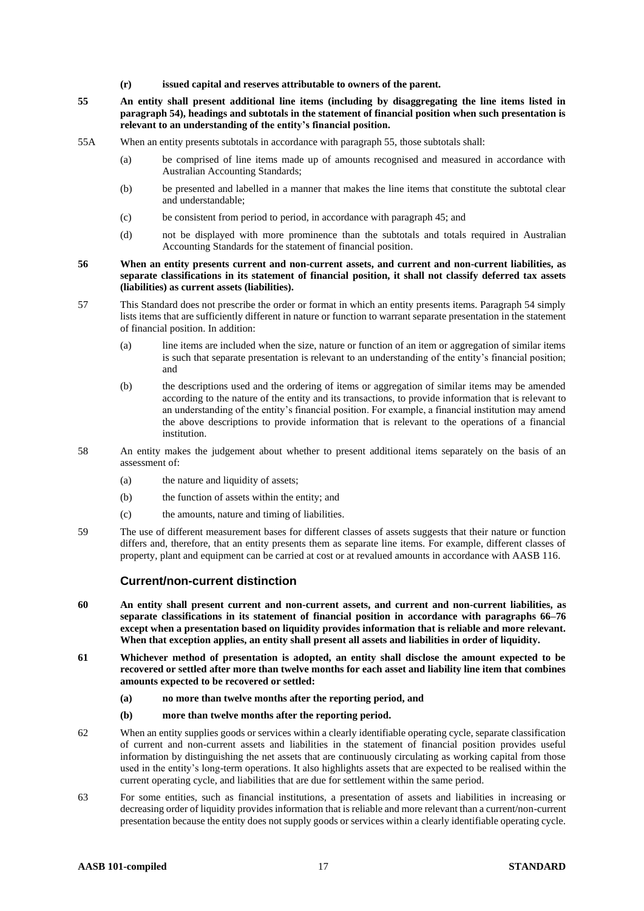- **(r) issued capital and reserves attributable to owners of the parent.**
- **55 An entity shall present additional line items (including by disaggregating the line items listed in paragraph 54), headings and subtotals in the statement of financial position when such presentation is relevant to an understanding of the entity's financial position.**
- 55A When an entity presents subtotals in accordance with paragraph 55, those subtotals shall:
	- (a) be comprised of line items made up of amounts recognised and measured in accordance with Australian Accounting Standards;
	- (b) be presented and labelled in a manner that makes the line items that constitute the subtotal clear and understandable;
	- (c) be consistent from period to period, in accordance with paragraph 45; and
	- (d) not be displayed with more prominence than the subtotals and totals required in Australian Accounting Standards for the statement of financial position.
- **56 When an entity presents current and non-current assets, and current and non-current liabilities, as separate classifications in its statement of financial position, it shall not classify deferred tax assets (liabilities) as current assets (liabilities).**
- 57 This Standard does not prescribe the order or format in which an entity presents items. Paragraph 54 simply lists items that are sufficiently different in nature or function to warrant separate presentation in the statement of financial position. In addition:
	- (a) line items are included when the size, nature or function of an item or aggregation of similar items is such that separate presentation is relevant to an understanding of the entity's financial position; and
	- (b) the descriptions used and the ordering of items or aggregation of similar items may be amended according to the nature of the entity and its transactions, to provide information that is relevant to an understanding of the entity's financial position. For example, a financial institution may amend the above descriptions to provide information that is relevant to the operations of a financial institution.
- 58 An entity makes the judgement about whether to present additional items separately on the basis of an assessment of:
	- (a) the nature and liquidity of assets;
	- (b) the function of assets within the entity; and
	- (c) the amounts, nature and timing of liabilities.
- 59 The use of different measurement bases for different classes of assets suggests that their nature or function differs and, therefore, that an entity presents them as separate line items. For example, different classes of property, plant and equipment can be carried at cost or at revalued amounts in accordance with AASB 116.

#### **Current/non-current distinction**

- **60 An entity shall present current and non-current assets, and current and non-current liabilities, as separate classifications in its statement of financial position in accordance with paragraphs 66–76 except when a presentation based on liquidity provides information that is reliable and more relevant. When that exception applies, an entity shall present all assets and liabilities in order of liquidity.**
- **61 Whichever method of presentation is adopted, an entity shall disclose the amount expected to be recovered or settled after more than twelve months for each asset and liability line item that combines amounts expected to be recovered or settled:**
	- **(a) no more than twelve months after the reporting period, and**
	- **(b) more than twelve months after the reporting period.**
- 62 When an entity supplies goods or services within a clearly identifiable operating cycle, separate classification of current and non-current assets and liabilities in the statement of financial position provides useful information by distinguishing the net assets that are continuously circulating as working capital from those used in the entity's long-term operations. It also highlights assets that are expected to be realised within the current operating cycle, and liabilities that are due for settlement within the same period.
- 63 For some entities, such as financial institutions, a presentation of assets and liabilities in increasing or decreasing order of liquidity provides information that is reliable and more relevant than a current/non-current presentation because the entity does not supply goods or services within a clearly identifiable operating cycle.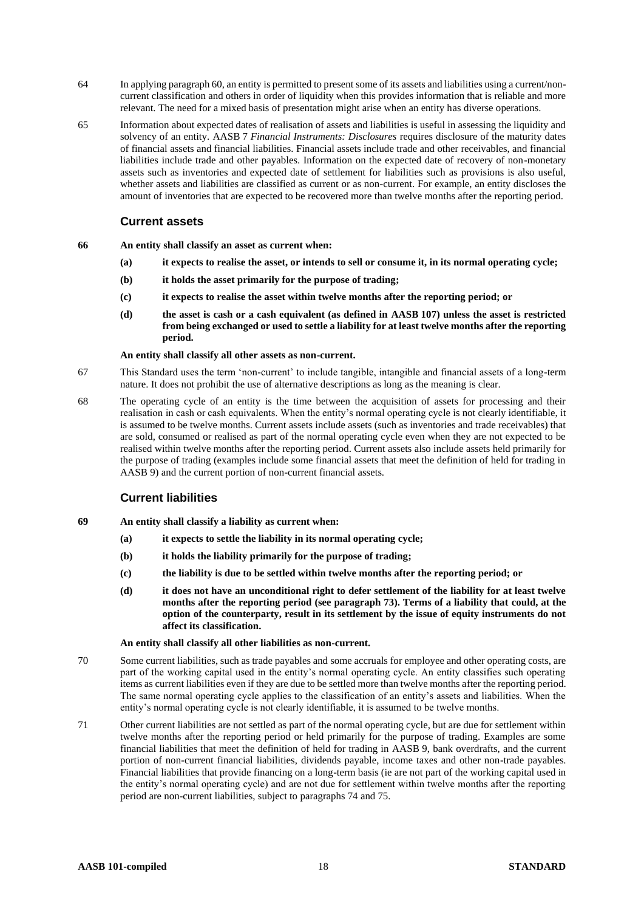- 64 In applying paragraph 60, an entity is permitted to present some of its assets and liabilities using a current/noncurrent classification and others in order of liquidity when this provides information that is reliable and more relevant. The need for a mixed basis of presentation might arise when an entity has diverse operations.
- 65 Information about expected dates of realisation of assets and liabilities is useful in assessing the liquidity and solvency of an entity. AASB 7 *Financial Instruments: Disclosures* requires disclosure of the maturity dates of financial assets and financial liabilities. Financial assets include trade and other receivables, and financial liabilities include trade and other payables. Information on the expected date of recovery of non-monetary assets such as inventories and expected date of settlement for liabilities such as provisions is also useful, whether assets and liabilities are classified as current or as non-current. For example, an entity discloses the amount of inventories that are expected to be recovered more than twelve months after the reporting period.

### **Current assets**

**66 An entity shall classify an asset as current when:**

- **(a) it expects to realise the asset, or intends to sell or consume it, in its normal operating cycle;**
- **(b) it holds the asset primarily for the purpose of trading;**
- **(c) it expects to realise the asset within twelve months after the reporting period; or**
- **(d) the asset is cash or a cash equivalent (as defined in AASB 107) unless the asset is restricted from being exchanged or used to settle a liability for at least twelve months after the reporting period.**

#### **An entity shall classify all other assets as non-current.**

- 67 This Standard uses the term 'non-current' to include tangible, intangible and financial assets of a long-term nature. It does not prohibit the use of alternative descriptions as long as the meaning is clear.
- 68 The operating cycle of an entity is the time between the acquisition of assets for processing and their realisation in cash or cash equivalents. When the entity's normal operating cycle is not clearly identifiable, it is assumed to be twelve months. Current assets include assets (such as inventories and trade receivables) that are sold, consumed or realised as part of the normal operating cycle even when they are not expected to be realised within twelve months after the reporting period. Current assets also include assets held primarily for the purpose of trading (examples include some financial assets that meet the definition of held for trading in AASB 9) and the current portion of non-current financial assets.

### **Current liabilities**

- **69 An entity shall classify a liability as current when:**
	- **(a) it expects to settle the liability in its normal operating cycle;**
	- **(b) it holds the liability primarily for the purpose of trading;**
	- **(c) the liability is due to be settled within twelve months after the reporting period; or**
	- **(d) it does not have an unconditional right to defer settlement of the liability for at least twelve months after the reporting period (see paragraph 73). Terms of a liability that could, at the option of the counterparty, result in its settlement by the issue of equity instruments do not affect its classification.**

#### **An entity shall classify all other liabilities as non-current.**

- 70 Some current liabilities, such as trade payables and some accruals for employee and other operating costs, are part of the working capital used in the entity's normal operating cycle. An entity classifies such operating items as current liabilities even if they are due to be settled more than twelve months after the reporting period. The same normal operating cycle applies to the classification of an entity's assets and liabilities. When the entity's normal operating cycle is not clearly identifiable, it is assumed to be twelve months.
- 71 Other current liabilities are not settled as part of the normal operating cycle, but are due for settlement within twelve months after the reporting period or held primarily for the purpose of trading. Examples are some financial liabilities that meet the definition of held for trading in AASB 9, bank overdrafts, and the current portion of non-current financial liabilities, dividends payable, income taxes and other non-trade payables. Financial liabilities that provide financing on a long-term basis (ie are not part of the working capital used in the entity's normal operating cycle) and are not due for settlement within twelve months after the reporting period are non-current liabilities, subject to paragraphs 74 and 75.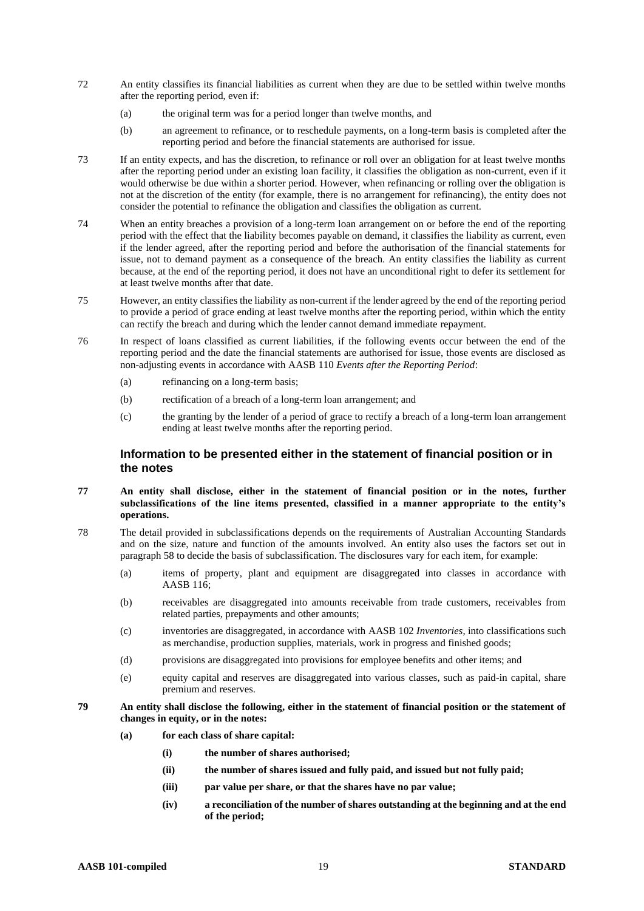- 72 An entity classifies its financial liabilities as current when they are due to be settled within twelve months after the reporting period, even if:
	- (a) the original term was for a period longer than twelve months, and
	- (b) an agreement to refinance, or to reschedule payments, on a long-term basis is completed after the reporting period and before the financial statements are authorised for issue.
- 73 If an entity expects, and has the discretion, to refinance or roll over an obligation for at least twelve months after the reporting period under an existing loan facility, it classifies the obligation as non-current, even if it would otherwise be due within a shorter period. However, when refinancing or rolling over the obligation is not at the discretion of the entity (for example, there is no arrangement for refinancing), the entity does not consider the potential to refinance the obligation and classifies the obligation as current.
- 74 When an entity breaches a provision of a long-term loan arrangement on or before the end of the reporting period with the effect that the liability becomes payable on demand, it classifies the liability as current, even if the lender agreed, after the reporting period and before the authorisation of the financial statements for issue, not to demand payment as a consequence of the breach. An entity classifies the liability as current because, at the end of the reporting period, it does not have an unconditional right to defer its settlement for at least twelve months after that date.
- 75 However, an entity classifies the liability as non-current if the lender agreed by the end of the reporting period to provide a period of grace ending at least twelve months after the reporting period, within which the entity can rectify the breach and during which the lender cannot demand immediate repayment.
- 76 In respect of loans classified as current liabilities, if the following events occur between the end of the reporting period and the date the financial statements are authorised for issue, those events are disclosed as non-adjusting events in accordance with AASB 110 *Events after the Reporting Period*:
	- (a) refinancing on a long-term basis;
	- (b) rectification of a breach of a long-term loan arrangement; and
	- (c) the granting by the lender of a period of grace to rectify a breach of a long-term loan arrangement ending at least twelve months after the reporting period.

### **Information to be presented either in the statement of financial position or in the notes**

#### **77 An entity shall disclose, either in the statement of financial position or in the notes, further subclassifications of the line items presented, classified in a manner appropriate to the entity's operations.**

- 78 The detail provided in subclassifications depends on the requirements of Australian Accounting Standards and on the size, nature and function of the amounts involved. An entity also uses the factors set out in paragraph 58 to decide the basis of subclassification. The disclosures vary for each item, for example:
	- (a) items of property, plant and equipment are disaggregated into classes in accordance with AASB 116;
	- (b) receivables are disaggregated into amounts receivable from trade customers, receivables from related parties, prepayments and other amounts;
	- (c) inventories are disaggregated, in accordance with AASB 102 *Inventories*, into classifications such as merchandise, production supplies, materials, work in progress and finished goods;
	- (d) provisions are disaggregated into provisions for employee benefits and other items; and
	- (e) equity capital and reserves are disaggregated into various classes, such as paid-in capital, share premium and reserves.
- **79 An entity shall disclose the following, either in the statement of financial position or the statement of changes in equity, or in the notes:**
	- **(a) for each class of share capital:**
		- **(i) the number of shares authorised;**
		- **(ii) the number of shares issued and fully paid, and issued but not fully paid;**
		- **(iii) par value per share, or that the shares have no par value;**
		- **(iv) a reconciliation of the number of shares outstanding at the beginning and at the end of the period;**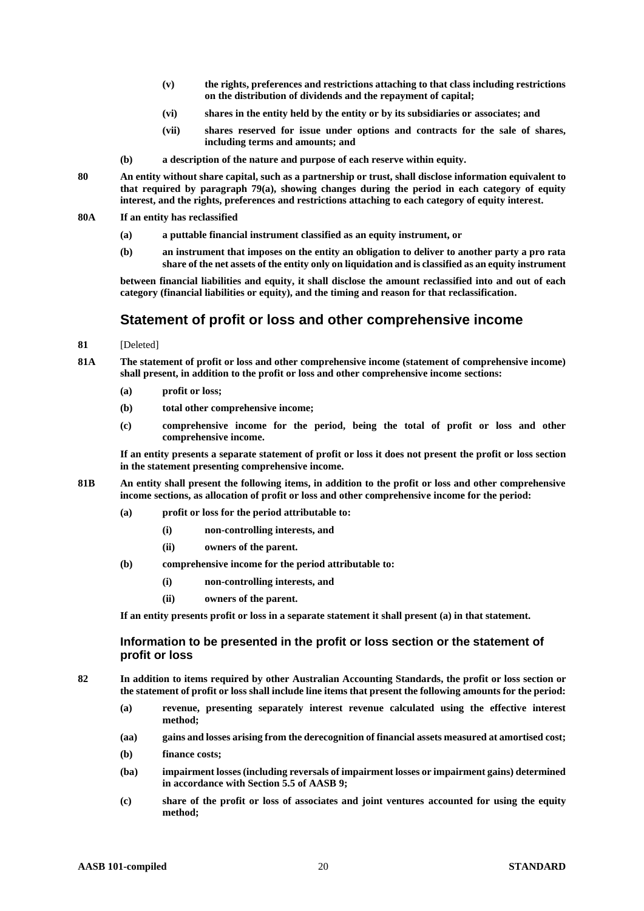- **(v) the rights, preferences and restrictions attaching to that class including restrictions on the distribution of dividends and the repayment of capital;**
- **(vi) shares in the entity held by the entity or by its subsidiaries or associates; and**
- **(vii) shares reserved for issue under options and contracts for the sale of shares, including terms and amounts; and**
- **(b) a description of the nature and purpose of each reserve within equity.**
- **80 An entity without share capital, such as a partnership or trust, shall disclose information equivalent to that required by paragraph 79(a), showing changes during the period in each category of equity interest, and the rights, preferences and restrictions attaching to each category of equity interest.**
- **80A If an entity has reclassified**
	- **(a) a puttable financial instrument classified as an equity instrument, or**
	- **(b) an instrument that imposes on the entity an obligation to deliver to another party a pro rata share of the net assets of the entity only on liquidation and is classified as an equity instrument**

**between financial liabilities and equity, it shall disclose the amount reclassified into and out of each category (financial liabilities or equity), and the timing and reason for that reclassification.**

## **Statement of profit or loss and other comprehensive income**

**81** [Deleted]

**81A The statement of profit or loss and other comprehensive income (statement of comprehensive income) shall present, in addition to the profit or loss and other comprehensive income sections:**

- **(a) profit or loss;**
- **(b) total other comprehensive income;**
- **(c) comprehensive income for the period, being the total of profit or loss and other comprehensive income.**

**If an entity presents a separate statement of profit or loss it does not present the profit or loss section in the statement presenting comprehensive income.**

- **81B An entity shall present the following items, in addition to the profit or loss and other comprehensive income sections, as allocation of profit or loss and other comprehensive income for the period:**
	- **(a) profit or loss for the period attributable to:**
		- **(i) non-controlling interests, and**
		- **(ii) owners of the parent.**
	- **(b) comprehensive income for the period attributable to:**
		- **(i) non-controlling interests, and**
		- **(ii) owners of the parent.**

**If an entity presents profit or loss in a separate statement it shall present (a) in that statement.**

### **Information to be presented in the profit or loss section or the statement of profit or loss**

**82 In addition to items required by other Australian Accounting Standards, the profit or loss section or the statement of profit or loss shall include line items that present the following amounts for the period:**

- **(a) revenue, presenting separately interest revenue calculated using the effective interest method;**
- **(aa) gains and losses arising from the derecognition of financial assets measured at amortised cost;**
- **(b) finance costs;**
- **(ba) impairment losses (including reversals of impairment losses or impairment gains) determined in accordance with Section 5.5 of AASB 9;**
- **(c) share of the profit or loss of associates and joint ventures accounted for using the equity method;**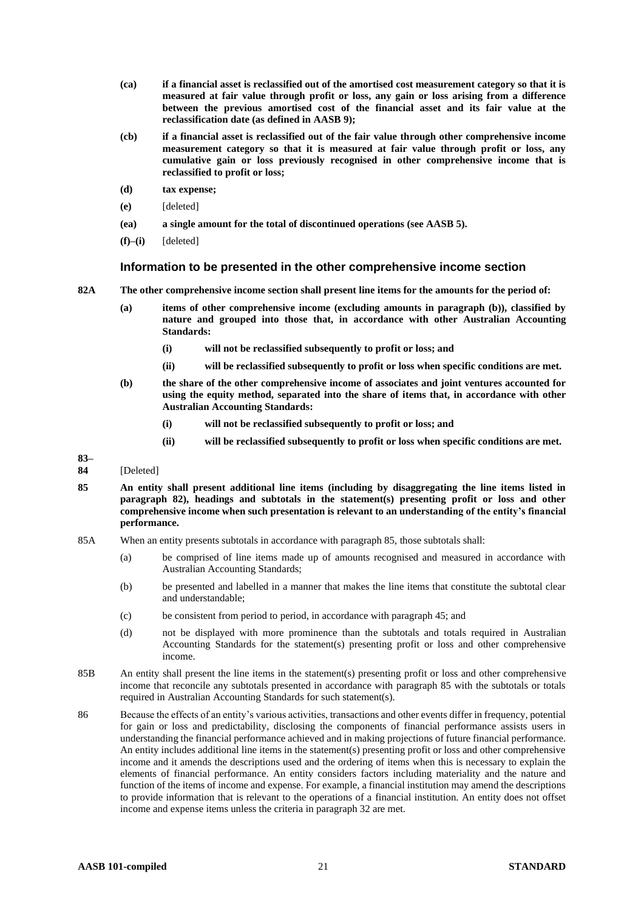- **(ca) if a financial asset is reclassified out of the amortised cost measurement category so that it is measured at fair value through profit or loss, any gain or loss arising from a difference between the previous amortised cost of the financial asset and its fair value at the reclassification date (as defined in AASB 9);**
- **(cb) if a financial asset is reclassified out of the fair value through other comprehensive income measurement category so that it is measured at fair value through profit or loss, any cumulative gain or loss previously recognised in other comprehensive income that is reclassified to profit or loss;**
- **(d) tax expense;**
- **(e)** [deleted]
- **(ea) a single amount for the total of discontinued operations (see AASB 5).**
- **(f)–(i)** [deleted]

#### **Information to be presented in the other comprehensive income section**

- **82A The other comprehensive income section shall present line items for the amounts for the period of:**
	- **(a) items of other comprehensive income (excluding amounts in paragraph (b)), classified by nature and grouped into those that, in accordance with other Australian Accounting Standards:**
		- **(i) will not be reclassified subsequently to profit or loss; and**
		- **(ii) will be reclassified subsequently to profit or loss when specific conditions are met.**
	- **(b) the share of the other comprehensive income of associates and joint ventures accounted for using the equity method, separated into the share of items that, in accordance with other Australian Accounting Standards:**
		- **(i) will not be reclassified subsequently to profit or loss; and**
		- **(ii) will be reclassified subsequently to profit or loss when specific conditions are met.**

**83–**

- **84** [Deleted]
- **85 An entity shall present additional line items (including by disaggregating the line items listed in paragraph 82), headings and subtotals in the statement(s) presenting profit or loss and other comprehensive income when such presentation is relevant to an understanding of the entity's financial performance.**
- 85A When an entity presents subtotals in accordance with paragraph 85, those subtotals shall:
	- (a) be comprised of line items made up of amounts recognised and measured in accordance with Australian Accounting Standards;
	- (b) be presented and labelled in a manner that makes the line items that constitute the subtotal clear and understandable;
	- (c) be consistent from period to period, in accordance with paragraph 45; and
	- (d) not be displayed with more prominence than the subtotals and totals required in Australian Accounting Standards for the statement(s) presenting profit or loss and other comprehensive income.
- 85B An entity shall present the line items in the statement(s) presenting profit or loss and other comprehensive income that reconcile any subtotals presented in accordance with paragraph 85 with the subtotals or totals required in Australian Accounting Standards for such statement(s).
- 86 Because the effects of an entity's various activities, transactions and other events differ in frequency, potential for gain or loss and predictability, disclosing the components of financial performance assists users in understanding the financial performance achieved and in making projections of future financial performance. An entity includes additional line items in the statement(s) presenting profit or loss and other comprehensive income and it amends the descriptions used and the ordering of items when this is necessary to explain the elements of financial performance. An entity considers factors including materiality and the nature and function of the items of income and expense. For example, a financial institution may amend the descriptions to provide information that is relevant to the operations of a financial institution. An entity does not offset income and expense items unless the criteria in paragraph 32 are met.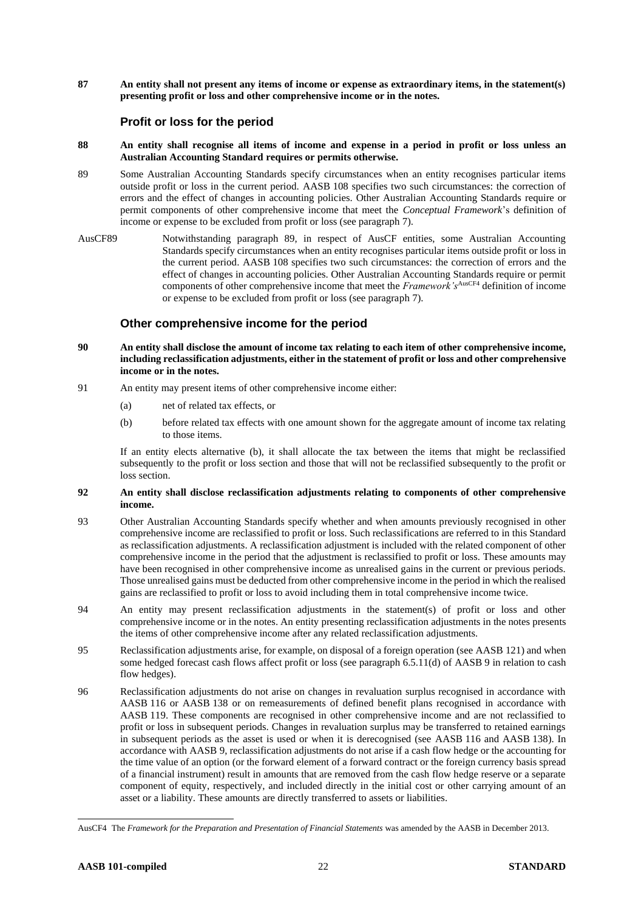**87 An entity shall not present any items of income or expense as extraordinary items, in the statement(s) presenting profit or loss and other comprehensive income or in the notes.**

### **Profit or loss for the period**

- **88 An entity shall recognise all items of income and expense in a period in profit or loss unless an Australian Accounting Standard requires or permits otherwise.**
- 89 Some Australian Accounting Standards specify circumstances when an entity recognises particular items outside profit or loss in the current period. AASB 108 specifies two such circumstances: the correction of errors and the effect of changes in accounting policies. Other Australian Accounting Standards require or permit components of other comprehensive income that meet the *Conceptual Framework*'s definition of income or expense to be excluded from profit or loss (see paragraph 7).
- AusCF89 Notwithstanding paragraph 89, in respect of AusCF entities, some Australian Accounting Standards specify circumstances when an entity recognises particular items outside profit or loss in the current period. AASB 108 specifies two such circumstances: the correction of errors and the effect of changes in accounting policies. Other Australian Accounting Standards require or permit components of other comprehensive income that meet the *Framework's*<sup>AusCF4</sup> definition of income or expense to be excluded from profit or loss (see paragraph 7).

### **Other comprehensive income for the period**

- **90 An entity shall disclose the amount of income tax relating to each item of other comprehensive income, including reclassification adjustments, either in the statement of profit or loss and other comprehensive income or in the notes.**
- 91 An entity may present items of other comprehensive income either:
	- (a) net of related tax effects, or
	- (b) before related tax effects with one amount shown for the aggregate amount of income tax relating to those items.

If an entity elects alternative (b), it shall allocate the tax between the items that might be reclassified subsequently to the profit or loss section and those that will not be reclassified subsequently to the profit or loss section.

#### **92 An entity shall disclose reclassification adjustments relating to components of other comprehensive income.**

- 93 Other Australian Accounting Standards specify whether and when amounts previously recognised in other comprehensive income are reclassified to profit or loss. Such reclassifications are referred to in this Standard as reclassification adjustments. A reclassification adjustment is included with the related component of other comprehensive income in the period that the adjustment is reclassified to profit or loss. These amounts may have been recognised in other comprehensive income as unrealised gains in the current or previous periods. Those unrealised gains must be deducted from other comprehensive income in the period in which the realised gains are reclassified to profit or loss to avoid including them in total comprehensive income twice.
- 94 An entity may present reclassification adjustments in the statement(s) of profit or loss and other comprehensive income or in the notes. An entity presenting reclassification adjustments in the notes presents the items of other comprehensive income after any related reclassification adjustments.
- 95 Reclassification adjustments arise, for example, on disposal of a foreign operation (see AASB 121) and when some hedged forecast cash flows affect profit or loss (see paragraph 6.5.11(d) of AASB 9 in relation to cash flow hedges).
- 96 Reclassification adjustments do not arise on changes in revaluation surplus recognised in accordance with AASB 116 or AASB 138 or on remeasurements of defined benefit plans recognised in accordance with AASB 119. These components are recognised in other comprehensive income and are not reclassified to profit or loss in subsequent periods. Changes in revaluation surplus may be transferred to retained earnings in subsequent periods as the asset is used or when it is derecognised (see AASB 116 and AASB 138). In accordance with AASB 9, reclassification adjustments do not arise if a cash flow hedge or the accounting for the time value of an option (or the forward element of a forward contract or the foreign currency basis spread of a financial instrument) result in amounts that are removed from the cash flow hedge reserve or a separate component of equity, respectively, and included directly in the initial cost or other carrying amount of an asset or a liability. These amounts are directly transferred to assets or liabilities.

AusCF4 The *Framework for the Preparation and Presentation of Financial Statements* was amended by the AASB in December 2013.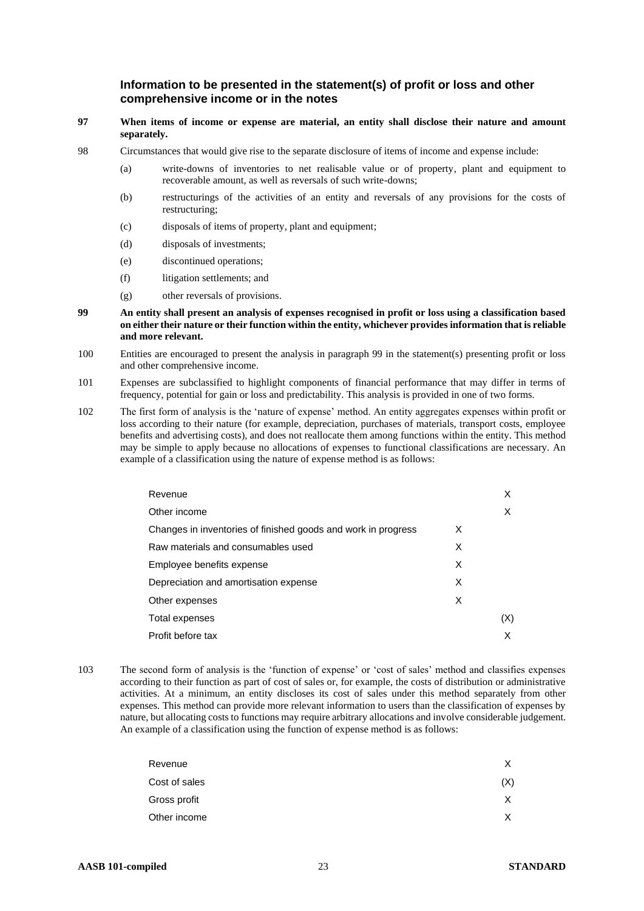### **Information to be presented in the statement(s) of profit or loss and other comprehensive income or in the notes**

#### **97 When items of income or expense are material, an entity shall disclose their nature and amount separately.**

- 98 Circumstances that would give rise to the separate disclosure of items of income and expense include:
	- (a) write-downs of inventories to net realisable value or of property, plant and equipment to recoverable amount, as well as reversals of such write-downs;
	- (b) restructurings of the activities of an entity and reversals of any provisions for the costs of restructuring;
	- (c) disposals of items of property, plant and equipment;
	- (d) disposals of investments;
	- (e) discontinued operations;
	- (f) litigation settlements; and
	- (g) other reversals of provisions.
- **99 An entity shall present an analysis of expenses recognised in profit or loss using a classification based on either their nature or their function within the entity, whichever provides information that is reliable and more relevant.**
- 100 Entities are encouraged to present the analysis in paragraph 99 in the statement(s) presenting profit or loss and other comprehensive income.
- 101 Expenses are subclassified to highlight components of financial performance that may differ in terms of frequency, potential for gain or loss and predictability. This analysis is provided in one of two forms.
- 102 The first form of analysis is the 'nature of expense' method. An entity aggregates expenses within profit or loss according to their nature (for example, depreciation, purchases of materials, transport costs, employee benefits and advertising costs), and does not reallocate them among functions within the entity. This method may be simple to apply because no allocations of expenses to functional classifications are necessary. An example of a classification using the nature of expense method is as follows:

| Revenue                                                       |   | X   |
|---------------------------------------------------------------|---|-----|
| Other income                                                  |   | X   |
| Changes in inventories of finished goods and work in progress | X |     |
| Raw materials and consumables used                            | X |     |
| Employee benefits expense                                     | X |     |
| Depreciation and amortisation expense                         | X |     |
| Other expenses                                                | X |     |
| Total expenses                                                |   | (X) |
| Profit before tax                                             |   | х   |

103 The second form of analysis is the 'function of expense' or 'cost of sales' method and classifies expenses according to their function as part of cost of sales or, for example, the costs of distribution or administrative activities. At a minimum, an entity discloses its cost of sales under this method separately from other expenses. This method can provide more relevant information to users than the classification of expenses by nature, but allocating costs to functions may require arbitrary allocations and involve considerable judgement. An example of a classification using the function of expense method is as follows:

| Revenue       | X.  |
|---------------|-----|
| Cost of sales | (X) |
| Gross profit  | X.  |
| Other income  | X.  |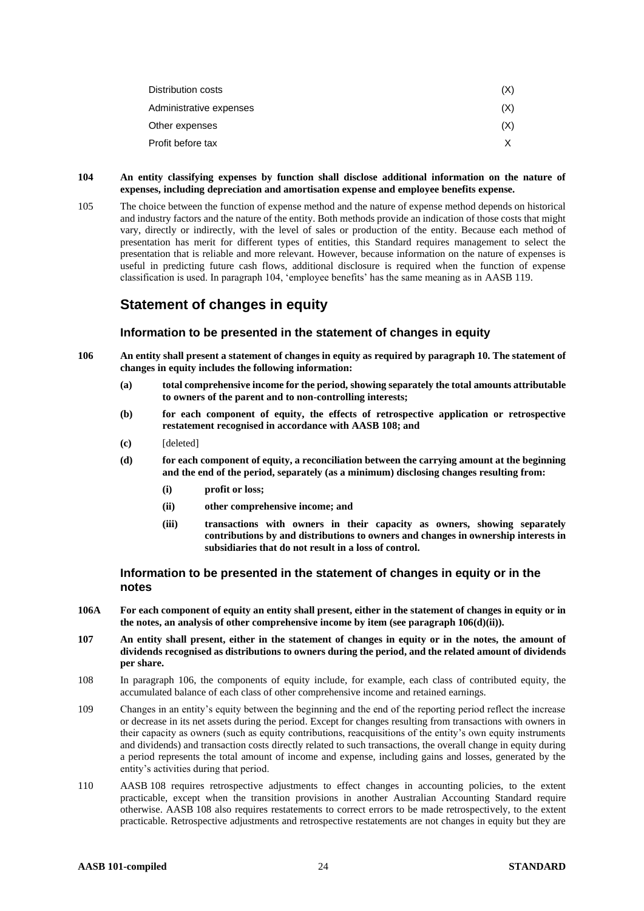| Distribution costs      | (X) |
|-------------------------|-----|
| Administrative expenses | (X) |
| Other expenses          | (X) |
| Profit before tax       |     |
|                         |     |

#### **104 An entity classifying expenses by function shall disclose additional information on the nature of expenses, including depreciation and amortisation expense and employee benefits expense.**

105 The choice between the function of expense method and the nature of expense method depends on historical and industry factors and the nature of the entity. Both methods provide an indication of those costs that might vary, directly or indirectly, with the level of sales or production of the entity. Because each method of presentation has merit for different types of entities, this Standard requires management to select the presentation that is reliable and more relevant. However, because information on the nature of expenses is useful in predicting future cash flows, additional disclosure is required when the function of expense classification is used. In paragraph 104, 'employee benefits' has the same meaning as in AASB 119.

# **Statement of changes in equity**

### **Information to be presented in the statement of changes in equity**

- **106 An entity shall present a statement of changes in equity as required by paragraph 10. The statement of changes in equity includes the following information:**
	- **(a) total comprehensive income for the period, showing separately the total amounts attributable to owners of the parent and to non-controlling interests;**
	- **(b) for each component of equity, the effects of retrospective application or retrospective restatement recognised in accordance with AASB 108; and**
	- **(c)** [deleted]
	- **(d) for each component of equity, a reconciliation between the carrying amount at the beginning and the end of the period, separately (as a minimum) disclosing changes resulting from:**
		- **(i) profit or loss;**
		- **(ii) other comprehensive income; and**
		- **(iii) transactions with owners in their capacity as owners, showing separately contributions by and distributions to owners and changes in ownership interests in subsidiaries that do not result in a loss of control.**

### **Information to be presented in the statement of changes in equity or in the notes**

- **106A For each component of equity an entity shall present, either in the statement of changes in equity or in the notes, an analysis of other comprehensive income by item (see paragraph 106(d)(ii)).**
- **107 An entity shall present, either in the statement of changes in equity or in the notes, the amount of dividends recognised as distributions to owners during the period, and the related amount of dividends per share.**
- 108 In paragraph 106, the components of equity include, for example, each class of contributed equity, the accumulated balance of each class of other comprehensive income and retained earnings.
- 109 Changes in an entity's equity between the beginning and the end of the reporting period reflect the increase or decrease in its net assets during the period. Except for changes resulting from transactions with owners in their capacity as owners (such as equity contributions, reacquisitions of the entity's own equity instruments and dividends) and transaction costs directly related to such transactions, the overall change in equity during a period represents the total amount of income and expense, including gains and losses, generated by the entity's activities during that period.
- 110 AASB 108 requires retrospective adjustments to effect changes in accounting policies, to the extent practicable, except when the transition provisions in another Australian Accounting Standard require otherwise. AASB 108 also requires restatements to correct errors to be made retrospectively, to the extent practicable. Retrospective adjustments and retrospective restatements are not changes in equity but they are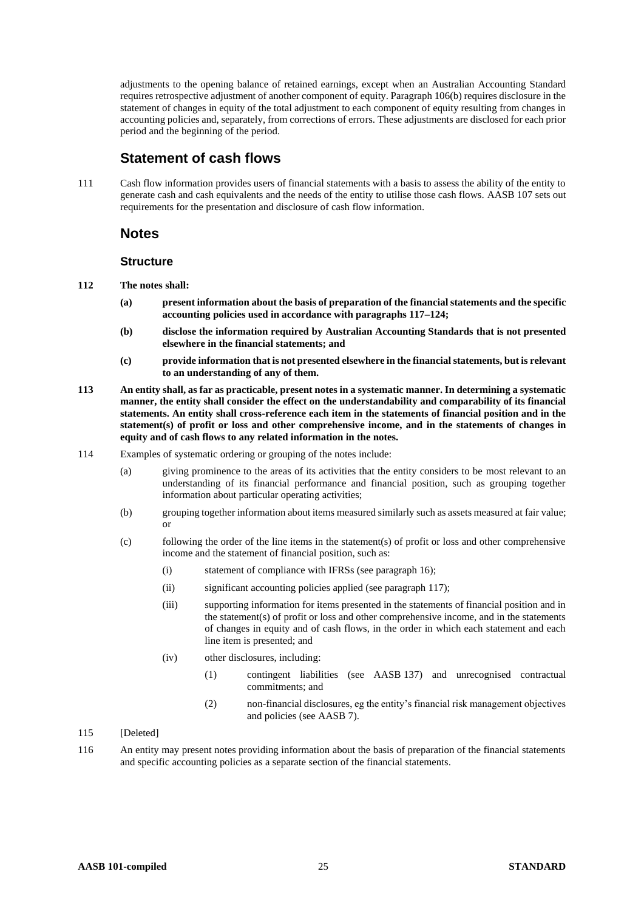adjustments to the opening balance of retained earnings, except when an Australian Accounting Standard requires retrospective adjustment of another component of equity. Paragraph 106(b) requires disclosure in the statement of changes in equity of the total adjustment to each component of equity resulting from changes in accounting policies and, separately, from corrections of errors. These adjustments are disclosed for each prior period and the beginning of the period.

# **Statement of cash flows**

111 Cash flow information provides users of financial statements with a basis to assess the ability of the entity to generate cash and cash equivalents and the needs of the entity to utilise those cash flows. AASB 107 sets out requirements for the presentation and disclosure of cash flow information.

### **Notes**

#### **Structure**

- **112 The notes shall:**
	- **(a) present information about the basis of preparation of the financial statements and the specific accounting policies used in accordance with paragraphs 117–124;**
	- **(b) disclose the information required by Australian Accounting Standards that is not presented elsewhere in the financial statements; and**
	- **(c) provide information that is not presented elsewhere in the financial statements, but is relevant to an understanding of any of them.**
- **113 An entity shall, as far as practicable, present notes in a systematic manner. In determining a systematic manner, the entity shall consider the effect on the understandability and comparability of its financial statements. An entity shall cross-reference each item in the statements of financial position and in the statement(s) of profit or loss and other comprehensive income, and in the statements of changes in equity and of cash flows to any related information in the notes.**
- 114 Examples of systematic ordering or grouping of the notes include:
	- (a) giving prominence to the areas of its activities that the entity considers to be most relevant to an understanding of its financial performance and financial position, such as grouping together information about particular operating activities;
	- (b) grouping together information about items measured similarly such as assets measured at fair value; or
	- (c) following the order of the line items in the statement(s) of profit or loss and other comprehensive income and the statement of financial position, such as:
		- (i) statement of compliance with IFRSs (see paragraph 16);
		- (ii) significant accounting policies applied (see paragraph 117);
		- (iii) supporting information for items presented in the statements of financial position and in the statement(s) of profit or loss and other comprehensive income, and in the statements of changes in equity and of cash flows, in the order in which each statement and each line item is presented; and
		- (iv) other disclosures, including:
			- (1) contingent liabilities (see AASB 137) and unrecognised contractual commitments; and
			- (2) non-financial disclosures, eg the entity's financial risk management objectives and policies (see AASB 7).
- 115 [Deleted]
- 116 An entity may present notes providing information about the basis of preparation of the financial statements and specific accounting policies as a separate section of the financial statements.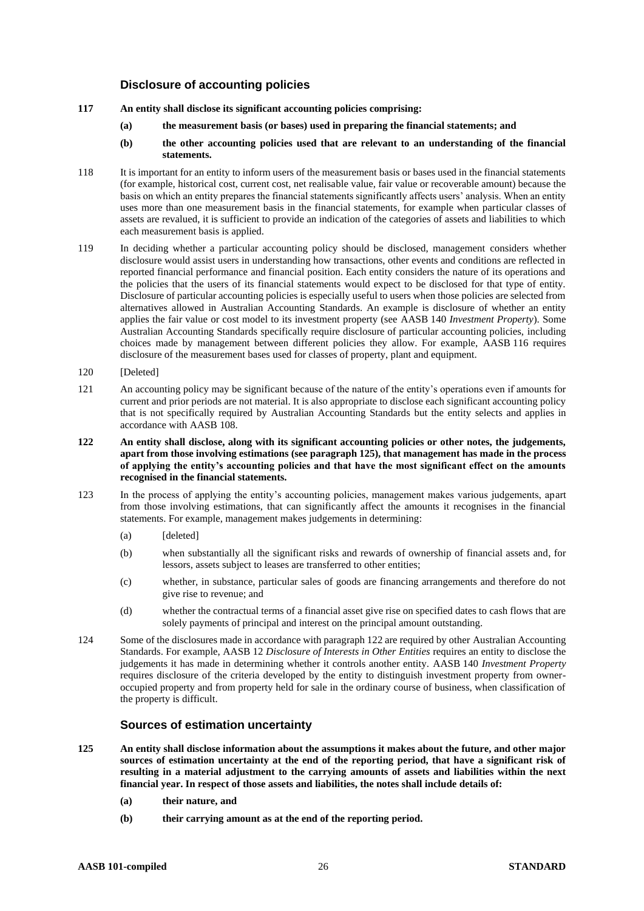### **Disclosure of accounting policies**

- **117 An entity shall disclose its significant accounting policies comprising:**
	- **(a) the measurement basis (or bases) used in preparing the financial statements; and**
	- **(b) the other accounting policies used that are relevant to an understanding of the financial statements.**
- 118 It is important for an entity to inform users of the measurement basis or bases used in the financial statements (for example, historical cost, current cost, net realisable value, fair value or recoverable amount) because the basis on which an entity prepares the financial statements significantly affects users' analysis. When an entity uses more than one measurement basis in the financial statements, for example when particular classes of assets are revalued, it is sufficient to provide an indication of the categories of assets and liabilities to which each measurement basis is applied.
- 119 In deciding whether a particular accounting policy should be disclosed, management considers whether disclosure would assist users in understanding how transactions, other events and conditions are reflected in reported financial performance and financial position. Each entity considers the nature of its operations and the policies that the users of its financial statements would expect to be disclosed for that type of entity. Disclosure of particular accounting policies is especially useful to users when those policies are selected from alternatives allowed in Australian Accounting Standards. An example is disclosure of whether an entity applies the fair value or cost model to its investment property (see AASB 140 *Investment Property*). Some Australian Accounting Standards specifically require disclosure of particular accounting policies, including choices made by management between different policies they allow. For example, AASB 116 requires disclosure of the measurement bases used for classes of property, plant and equipment.
- 120 [Deleted]
- 121 An accounting policy may be significant because of the nature of the entity's operations even if amounts for current and prior periods are not material. It is also appropriate to disclose each significant accounting policy that is not specifically required by Australian Accounting Standards but the entity selects and applies in accordance with AASB 108.
- **122 An entity shall disclose, along with its significant accounting policies or other notes, the judgements, apart from those involving estimations (see paragraph 125), that management has made in the process of applying the entity's accounting policies and that have the most significant effect on the amounts recognised in the financial statements.**
- 123 In the process of applying the entity's accounting policies, management makes various judgements, apart from those involving estimations, that can significantly affect the amounts it recognises in the financial statements. For example, management makes judgements in determining:
	- (a) [deleted]
	- (b) when substantially all the significant risks and rewards of ownership of financial assets and, for lessors, assets subject to leases are transferred to other entities;
	- (c) whether, in substance, particular sales of goods are financing arrangements and therefore do not give rise to revenue; and
	- (d) whether the contractual terms of a financial asset give rise on specified dates to cash flows that are solely payments of principal and interest on the principal amount outstanding.
- 124 Some of the disclosures made in accordance with paragraph 122 are required by other Australian Accounting Standards. For example, AASB 12 *Disclosure of Interests in Other Entities* requires an entity to disclose the judgements it has made in determining whether it controls another entity. AASB 140 *Investment Property* requires disclosure of the criteria developed by the entity to distinguish investment property from owneroccupied property and from property held for sale in the ordinary course of business, when classification of the property is difficult.

### **Sources of estimation uncertainty**

- **125 An entity shall disclose information about the assumptions it makes about the future, and other major sources of estimation uncertainty at the end of the reporting period, that have a significant risk of resulting in a material adjustment to the carrying amounts of assets and liabilities within the next financial year. In respect of those assets and liabilities, the notes shall include details of:**
	- **(a) their nature, and**
	- **(b) their carrying amount as at the end of the reporting period.**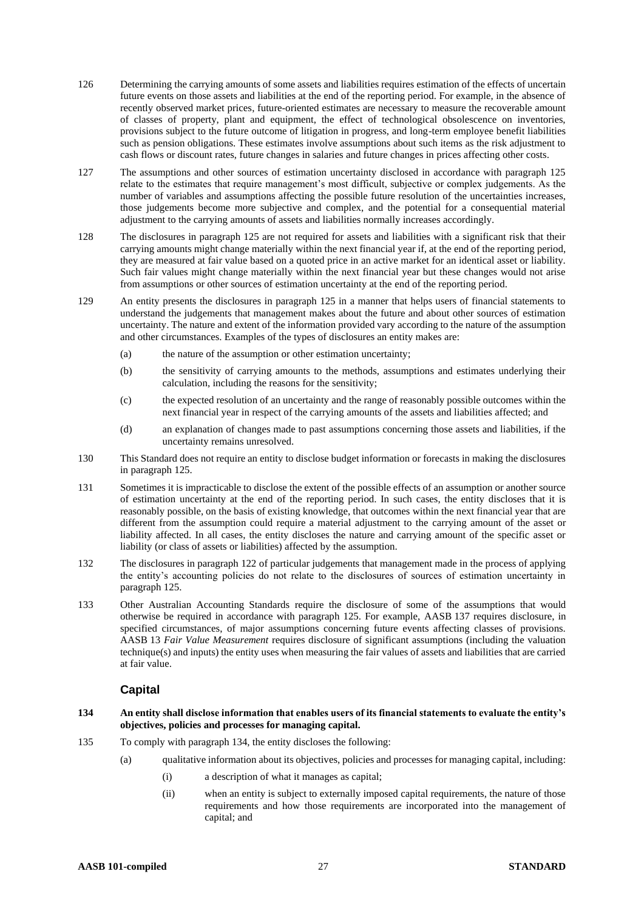- 126 Determining the carrying amounts of some assets and liabilities requires estimation of the effects of uncertain future events on those assets and liabilities at the end of the reporting period. For example, in the absence of recently observed market prices, future-oriented estimates are necessary to measure the recoverable amount of classes of property, plant and equipment, the effect of technological obsolescence on inventories, provisions subject to the future outcome of litigation in progress, and long-term employee benefit liabilities such as pension obligations. These estimates involve assumptions about such items as the risk adjustment to cash flows or discount rates, future changes in salaries and future changes in prices affecting other costs.
- 127 The assumptions and other sources of estimation uncertainty disclosed in accordance with paragraph 125 relate to the estimates that require management's most difficult, subjective or complex judgements. As the number of variables and assumptions affecting the possible future resolution of the uncertainties increases, those judgements become more subjective and complex, and the potential for a consequential material adjustment to the carrying amounts of assets and liabilities normally increases accordingly.
- 128 The disclosures in paragraph 125 are not required for assets and liabilities with a significant risk that their carrying amounts might change materially within the next financial year if, at the end of the reporting period, they are measured at fair value based on a quoted price in an active market for an identical asset or liability. Such fair values might change materially within the next financial year but these changes would not arise from assumptions or other sources of estimation uncertainty at the end of the reporting period.
- 129 An entity presents the disclosures in paragraph 125 in a manner that helps users of financial statements to understand the judgements that management makes about the future and about other sources of estimation uncertainty. The nature and extent of the information provided vary according to the nature of the assumption and other circumstances. Examples of the types of disclosures an entity makes are:
	- (a) the nature of the assumption or other estimation uncertainty;
	- (b) the sensitivity of carrying amounts to the methods, assumptions and estimates underlying their calculation, including the reasons for the sensitivity;
	- (c) the expected resolution of an uncertainty and the range of reasonably possible outcomes within the next financial year in respect of the carrying amounts of the assets and liabilities affected; and
	- (d) an explanation of changes made to past assumptions concerning those assets and liabilities, if the uncertainty remains unresolved.
- 130 This Standard does not require an entity to disclose budget information or forecasts in making the disclosures in paragraph 125.
- 131 Sometimes it is impracticable to disclose the extent of the possible effects of an assumption or another source of estimation uncertainty at the end of the reporting period. In such cases, the entity discloses that it is reasonably possible, on the basis of existing knowledge, that outcomes within the next financial year that are different from the assumption could require a material adjustment to the carrying amount of the asset or liability affected. In all cases, the entity discloses the nature and carrying amount of the specific asset or liability (or class of assets or liabilities) affected by the assumption.
- 132 The disclosures in paragraph 122 of particular judgements that management made in the process of applying the entity's accounting policies do not relate to the disclosures of sources of estimation uncertainty in paragraph 125.
- 133 Other Australian Accounting Standards require the disclosure of some of the assumptions that would otherwise be required in accordance with paragraph 125. For example, AASB 137 requires disclosure, in specified circumstances, of major assumptions concerning future events affecting classes of provisions. AASB 13 *Fair Value Measurement* requires disclosure of significant assumptions (including the valuation technique(s) and inputs) the entity uses when measuring the fair values of assets and liabilities that are carried at fair value.

### **Capital**

- **134 An entity shall disclose information that enables users of its financial statements to evaluate the entity's objectives, policies and processes for managing capital.**
- 135 To comply with paragraph 134, the entity discloses the following:
	- (a) qualitative information about its objectives, policies and processes for managing capital, including:
		- (i) a description of what it manages as capital;
		- (ii) when an entity is subject to externally imposed capital requirements, the nature of those requirements and how those requirements are incorporated into the management of capital; and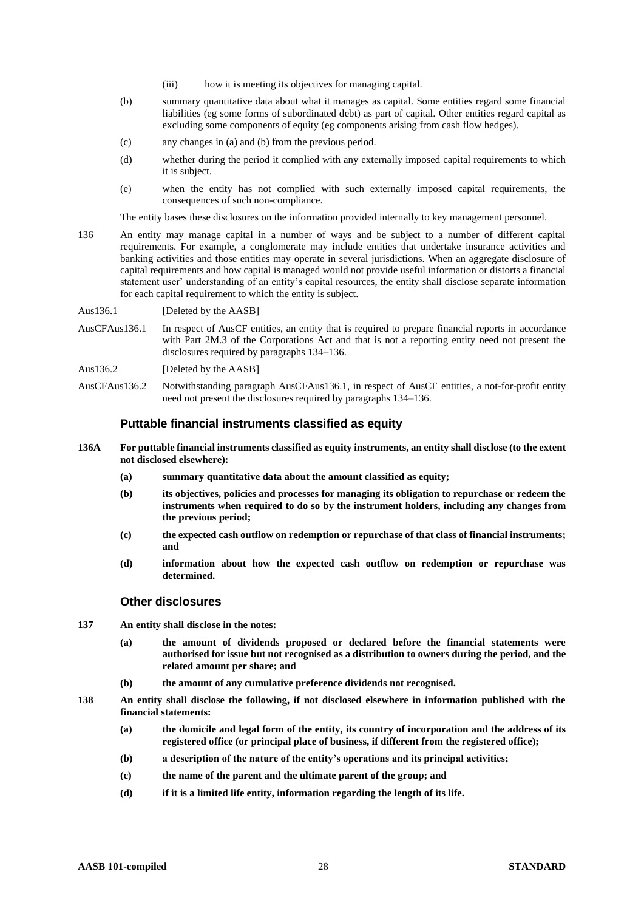- (iii) how it is meeting its objectives for managing capital.
- (b) summary quantitative data about what it manages as capital. Some entities regard some financial liabilities (eg some forms of subordinated debt) as part of capital. Other entities regard capital as excluding some components of equity (eg components arising from cash flow hedges).
- (c) any changes in (a) and (b) from the previous period.
- (d) whether during the period it complied with any externally imposed capital requirements to which it is subject.
- (e) when the entity has not complied with such externally imposed capital requirements, the consequences of such non-compliance.

The entity bases these disclosures on the information provided internally to key management personnel.

- 136 An entity may manage capital in a number of ways and be subject to a number of different capital requirements. For example, a conglomerate may include entities that undertake insurance activities and banking activities and those entities may operate in several jurisdictions. When an aggregate disclosure of capital requirements and how capital is managed would not provide useful information or distorts a financial statement user' understanding of an entity's capital resources, the entity shall disclose separate information for each capital requirement to which the entity is subject.
- Aus136.1 [Deleted by the AASB]
- AusCFAus136.1 In respect of AusCF entities, an entity that is required to prepare financial reports in accordance with Part 2M.3 of the Corporations Act and that is not a reporting entity need not present the disclosures required by paragraphs 134–136.
- Aus136.2 [Deleted by the AASB]
- AusCFAus136.2 Notwithstanding paragraph AusCFAus136.1, in respect of AusCF entities, a not-for-profit entity need not present the disclosures required by paragraphs 134–136.

#### **Puttable financial instruments classified as equity**

- **136A For puttable financial instruments classified as equity instruments, an entity shall disclose (to the extent not disclosed elsewhere):**
	- **(a) summary quantitative data about the amount classified as equity;**
	- **(b) its objectives, policies and processes for managing its obligation to repurchase or redeem the instruments when required to do so by the instrument holders, including any changes from the previous period;**
	- **(c) the expected cash outflow on redemption or repurchase of that class of financial instruments; and**
	- **(d) information about how the expected cash outflow on redemption or repurchase was determined.**

### **Other disclosures**

- **137 An entity shall disclose in the notes:**
	- **(a) the amount of dividends proposed or declared before the financial statements were authorised for issue but not recognised as a distribution to owners during the period, and the related amount per share; and**
	- **(b) the amount of any cumulative preference dividends not recognised.**
- **138 An entity shall disclose the following, if not disclosed elsewhere in information published with the financial statements:**
	- **(a) the domicile and legal form of the entity, its country of incorporation and the address of its registered office (or principal place of business, if different from the registered office);**
	- **(b) a description of the nature of the entity's operations and its principal activities;**
	- **(c) the name of the parent and the ultimate parent of the group; and**
	- **(d) if it is a limited life entity, information regarding the length of its life.**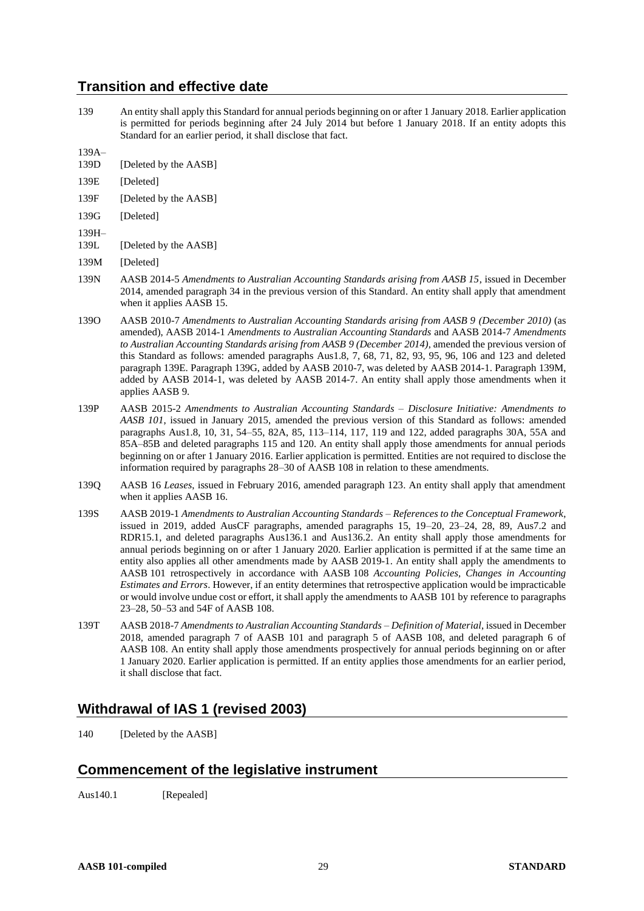# **Transition and effective date**

- 139 An entity shall apply this Standard for annual periods beginning on or after 1 January 2018. Earlier application is permitted for periods beginning after 24 July 2014 but before 1 January 2018. If an entity adopts this Standard for an earlier period, it shall disclose that fact.
- 139A–
- 139D [Deleted by the AASB]
- 139E [Deleted]
- 139F [Deleted by the AASB]
- 139G [Deleted]
- 139H–
- 139L [Deleted by the AASB]
- 139M [Deleted]
- 139N AASB 2014-5 *Amendments to Australian Accounting Standards arising from AASB 15*, issued in December 2014, amended paragraph 34 in the previous version of this Standard. An entity shall apply that amendment when it applies AASB 15.
- 139O AASB 2010-7 *Amendments to Australian Accounting Standards arising from AASB 9 (December 2010)* (as amended), AASB 2014-1 *Amendments to Australian Accounting Standards* and AASB 2014-7 *Amendments to Australian Accounting Standards arising from AASB 9 (December 2014)*, amended the previous version of this Standard as follows: amended paragraphs Aus1.8, 7, 68, 71, 82, 93, 95, 96, 106 and 123 and deleted paragraph 139E. Paragraph 139G, added by AASB 2010-7, was deleted by AASB 2014-1. Paragraph 139M, added by AASB 2014-1, was deleted by AASB 2014-7. An entity shall apply those amendments when it applies AASB 9.
- 139P AASB 2015-2 *Amendments to Australian Accounting Standards – Disclosure Initiative: Amendments to AASB 101*, issued in January 2015, amended the previous version of this Standard as follows: amended paragraphs Aus1.8, 10, 31, 54–55, 82A, 85, 113–114, 117, 119 and 122, added paragraphs 30A, 55A and 85A–85B and deleted paragraphs 115 and 120. An entity shall apply those amendments for annual periods beginning on or after 1 January 2016. Earlier application is permitted. Entities are not required to disclose the information required by paragraphs 28–30 of AASB 108 in relation to these amendments.
- 139Q AASB 16 *Leases*, issued in February 2016, amended paragraph 123. An entity shall apply that amendment when it applies AASB 16.
- 139S AASB 2019-1 *Amendments to Australian Accounting Standards – References to the Conceptual Framework*, issued in 2019, added AusCF paragraphs, amended paragraphs 15, 19–20, 23–24, 28, 89, Aus7.2 and RDR15.1, and deleted paragraphs Aus136.1 and Aus136.2. An entity shall apply those amendments for annual periods beginning on or after 1 January 2020. Earlier application is permitted if at the same time an entity also applies all other amendments made by AASB 2019-1. An entity shall apply the amendments to AASB 101 retrospectively in accordance with AASB 108 *Accounting Policies, Changes in Accounting Estimates and Errors*. However, if an entity determines that retrospective application would be impracticable or would involve undue cost or effort, it shall apply the amendments to AASB 101 by reference to paragraphs 23–28, 50–53 and 54F of AASB 108.
- 139T AASB 2018-7 *Amendments to Australian Accounting Standards – Definition of Material*, issued in December 2018, amended paragraph 7 of AASB 101 and paragraph 5 of AASB 108, and deleted paragraph 6 of AASB 108. An entity shall apply those amendments prospectively for annual periods beginning on or after 1 January 2020. Earlier application is permitted. If an entity applies those amendments for an earlier period, it shall disclose that fact.

# **Withdrawal of IAS 1 (revised 2003)**

140 [Deleted by the AASB]

# **Commencement of the legislative instrument**

Aus140.1 [Repealed]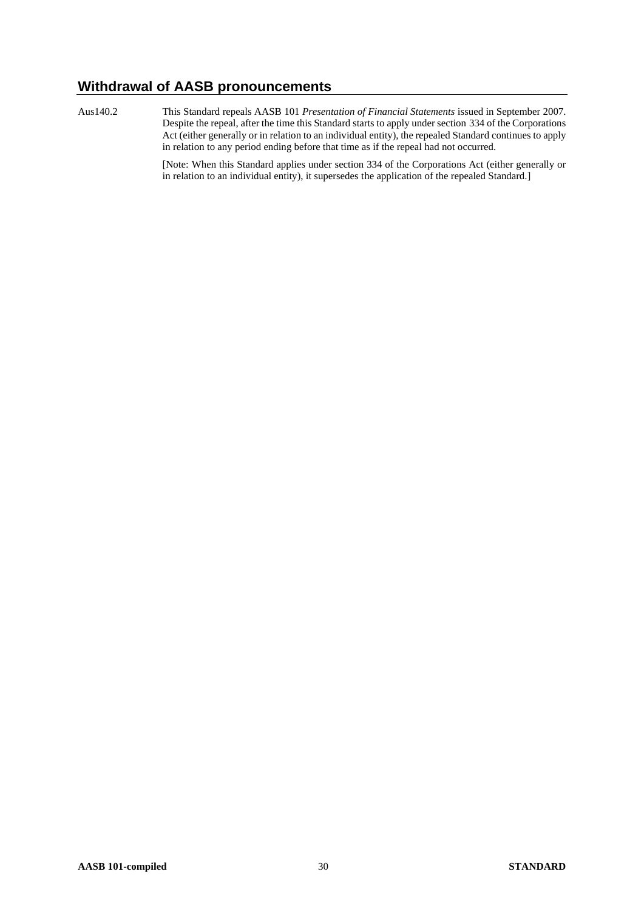# **Withdrawal of AASB pronouncements**

Aus140.2 This Standard repeals AASB 101 *Presentation of Financial Statements* issued in September 2007. Despite the repeal, after the time this Standard starts to apply under section 334 of the Corporations Act (either generally or in relation to an individual entity), the repealed Standard continues to apply in relation to any period ending before that time as if the repeal had not occurred.

> [Note: When this Standard applies under section 334 of the Corporations Act (either generally or in relation to an individual entity), it supersedes the application of the repealed Standard.]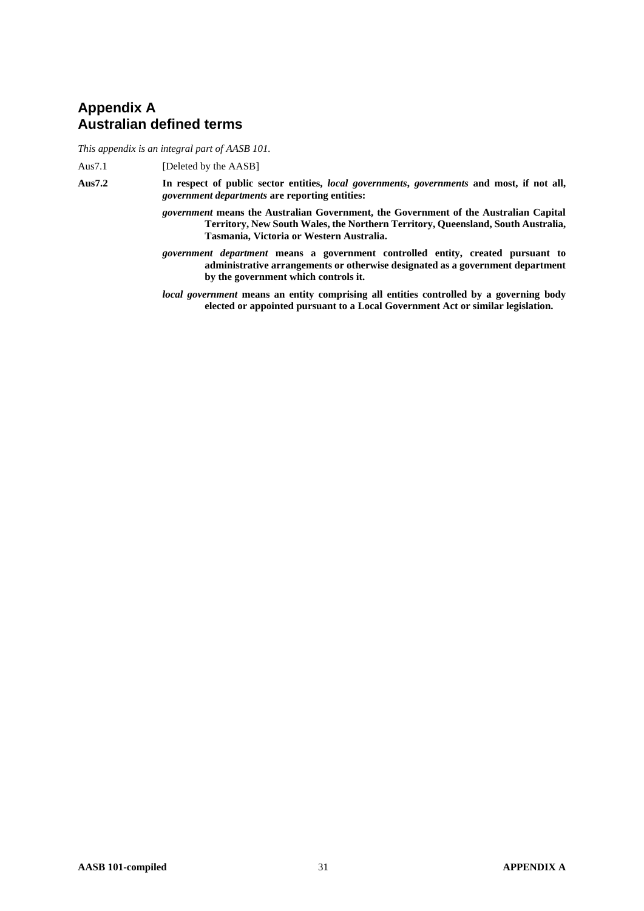# **Appendix A Australian defined terms**

*This appendix is an integral part of AASB 101.*

Aus7.1 [Deleted by the AASB]

- **Aus7.2 In respect of public sector entities,** *local governments***,** *governments* **and most, if not all,**  *government departments* **are reporting entities:**
	- *government* **means the Australian Government, the Government of the Australian Capital Territory, New South Wales, the Northern Territory, Queensland, South Australia, Tasmania, Victoria or Western Australia.**
	- *government department* **means a government controlled entity, created pursuant to administrative arrangements or otherwise designated as a government department by the government which controls it.**
	- *local government* **means an entity comprising all entities controlled by a governing body elected or appointed pursuant to a Local Government Act or similar legislation.**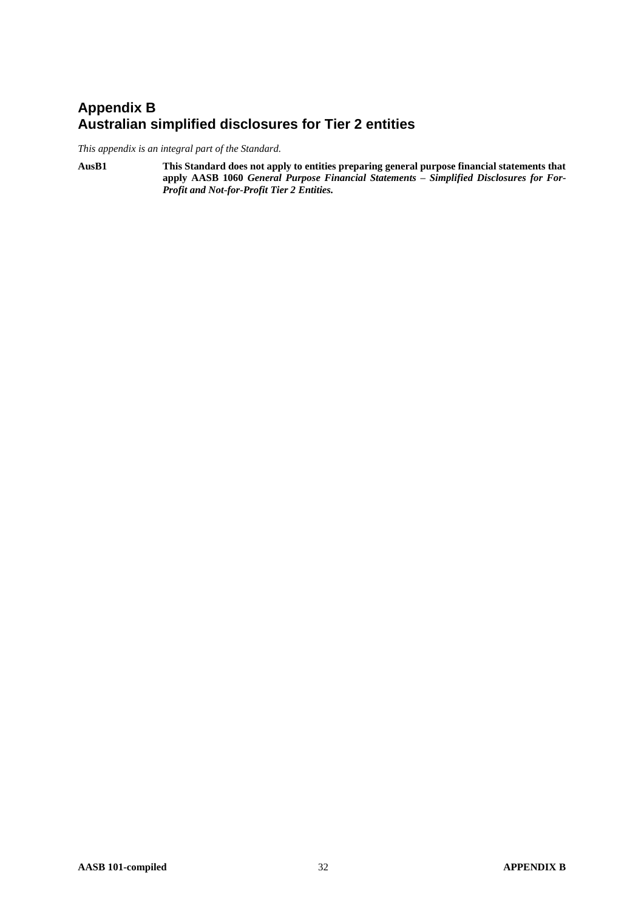# **Appendix B Australian simplified disclosures for Tier 2 entities**

*This appendix is an integral part of the Standard.*

**AusB1 This Standard does not apply to entities preparing general purpose financial statements that apply AASB 1060** *General Purpose Financial Statements – Simplified Disclosures for For-Profit and Not-for-Profit Tier 2 Entities.*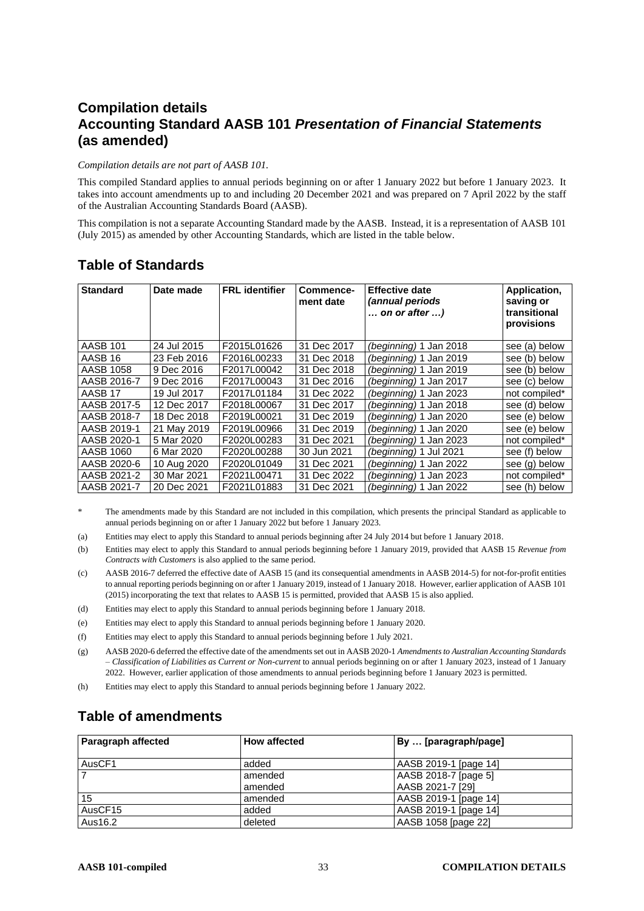# **Compilation details Accounting Standard AASB 101** *Presentation of Financial Statements* **(as amended)**

#### *Compilation details are not part of AASB 101.*

This compiled Standard applies to annual periods beginning on or after 1 January 2022 but before 1 January 2023. It takes into account amendments up to and including 20 December 2021 and was prepared on 7 April 2022 by the staff of the Australian Accounting Standards Board (AASB).

This compilation is not a separate Accounting Standard made by the AASB. Instead, it is a representation of AASB 101 (July 2015) as amended by other Accounting Standards, which are listed in the table below.

| <b>Standard</b>    | Date made   | <b>FRL</b> identifier | Commence-<br>ment date | <b>Effective date</b><br><i>(annual periods</i><br>$\ldots$ on or after $\ldots$ ) | Application.<br>saving or<br>transitional<br>provisions |
|--------------------|-------------|-----------------------|------------------------|------------------------------------------------------------------------------------|---------------------------------------------------------|
| <b>AASB 101</b>    | 24 Jul 2015 | F2015L01626           | 31 Dec 2017            | (beginning) 1 Jan 2018                                                             | (a) below<br>see                                        |
| AASB 16            | 23 Feb 2016 | F2016L00233           | 31 Dec 2018            | (beginning) 1 Jan 2019                                                             | see (b) below                                           |
| AASB 1058          | 9 Dec 2016  | F2017L00042           | 31 Dec 2018            | (beginning) 1 Jan 2019                                                             | (b) below<br>see                                        |
| AASB 2016-7        | 9 Dec 2016  | F2017L00043           | 31 Dec 2016            | (beginning) 1 Jan 2017                                                             | see (c) below                                           |
| AASB <sub>17</sub> | 19 Jul 2017 | F2017L01184           | 31 Dec 2022            | (beginning) 1<br>Jan 2023                                                          | not compiled*                                           |
| AASB 2017-5        | 12 Dec 2017 | F2018L00067           | 31 Dec 2017            | (beginning) 1<br>Jan 2018                                                          | see (d) below                                           |
| AASB 2018-7        | 18 Dec 2018 | F2019L00021           | 31 Dec 2019            | (beginning) 1 Jan 2020                                                             | see (e) below                                           |
| AASB 2019-1        | 21 May 2019 | F2019L00966           | 31 Dec 2019            | (beginning) 1 Jan 2020                                                             | see (e) below                                           |
| AASB 2020-1        | 5 Mar 2020  | F2020L00283           | 31 Dec 2021            | <i>(beginning)</i> 1 Jan 2023                                                      | not compiled*                                           |
| AASB 1060          | 6 Mar 2020  | F2020L00288           | 30 Jun 2021            | (beginning) 1 Jul 2021                                                             | see (f) below                                           |
| AASB 2020-6        | 10 Aug 2020 | F2020L01049           | 31 Dec 2021            | <i>(beginning)</i> 1 Jan 2022                                                      | see (a) below                                           |
| AASB 2021-2        | 30 Mar 2021 | F2021L00471           | 31 Dec 2022            | (beginning) 1 Jan 2023                                                             | not compiled*                                           |
| AASB 2021-7        | 20 Dec 2021 | F2021L01883           | 31 Dec 2021            | <i>(beainnina)</i> 1 Jan 2022                                                      | see (h) below                                           |

# **Table of Standards**

\* The amendments made by this Standard are not included in this compilation, which presents the principal Standard as applicable to annual periods beginning on or after 1 January 2022 but before 1 January 2023.

(a) Entities may elect to apply this Standard to annual periods beginning after 24 July 2014 but before 1 January 2018.

(b) Entities may elect to apply this Standard to annual periods beginning before 1 January 2019, provided that AASB 15 *Revenue from Contracts with Customers* is also applied to the same period.

- (c) AASB 2016-7 deferred the effective date of AASB 15 (and its consequential amendments in AASB 2014-5) for not-for-profit entities to annual reporting periods beginning on or after 1 January 2019, instead of 1 January 2018. However, earlier application of AASB 101 (2015) incorporating the text that relates to AASB 15 is permitted, provided that AASB 15 is also applied.
- (d) Entities may elect to apply this Standard to annual periods beginning before 1 January 2018.
- (e) Entities may elect to apply this Standard to annual periods beginning before 1 January 2020.
- (f) Entities may elect to apply this Standard to annual periods beginning before 1 July 2021.
- (g) AASB 2020-6 deferred the effective date of the amendments set out in AASB 2020-1 *Amendments to Australian Accounting Standards – Classification of Liabilities as Current or Non-current* to annual periods beginning on or after 1 January 2023, instead of 1 January 2022. However, earlier application of those amendments to annual periods beginning before 1 January 2023 is permitted.
- (h) Entities may elect to apply this Standard to annual periods beginning before 1 January 2022.

# **Table of amendments**

| <b>Paragraph affected</b> | <b>How affected</b> | By  [paragraph/page]  |
|---------------------------|---------------------|-----------------------|
| AusCF1                    | added               | AASB 2019-1 [page 14] |
|                           | amended             | AASB 2018-7 [page 5]  |
|                           | amended             | AASB 2021-7 [29]      |
| 15                        | amended             | AASB 2019-1 [page 14] |
| AusCF15                   | added               | AASB 2019-1 [page 14] |
| Aus16.2                   | deleted             | AASB 1058 [page 22]   |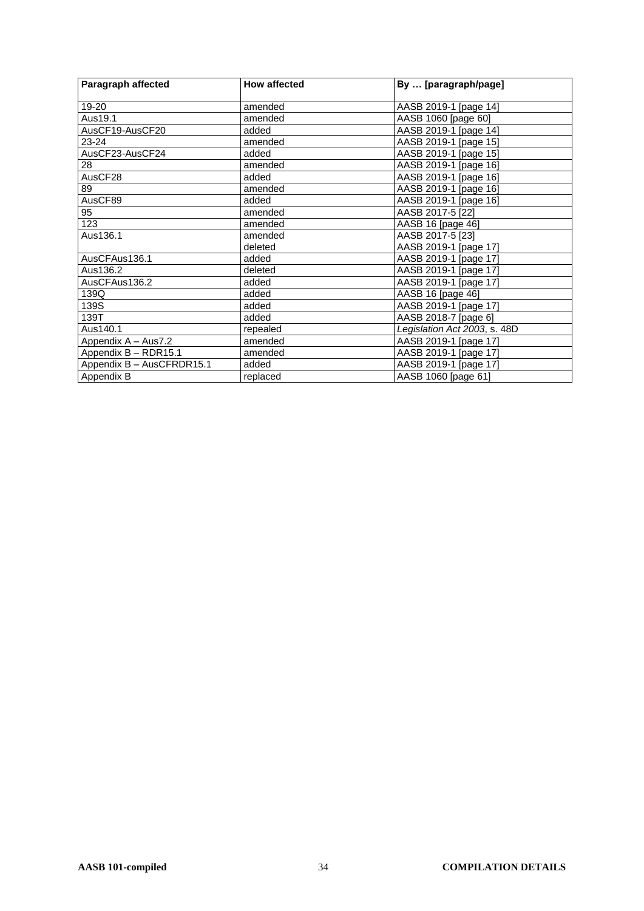| <b>Paragraph affected</b> | <b>How affected</b> | By  [paragraph/page]         |
|---------------------------|---------------------|------------------------------|
| 19-20                     | amended             | AASB 2019-1 [page 14]        |
| Aus19.1                   | amended             | AASB 1060 [page 60]          |
| AusCF19-AusCF20           | added               | AASB 2019-1 [page 14]        |
| $23 - 24$                 | amended             | AASB 2019-1 [page 15]        |
| AusCF23-AusCF24           | added               | AASB 2019-1 [page 15]        |
| 28                        | amended             | AASB 2019-1 [page 16]        |
| AusCF28                   | added               | AASB 2019-1 [page 16]        |
| 89                        | amended             | AASB 2019-1 [page 16]        |
| AusCF89                   | added               | AASB 2019-1 [page 16]        |
| 95                        | amended             | AASB 2017-5 [22]             |
| 123                       | amended             | AASB 16 [page 46]            |
| Aus136.1                  | amended             | AASB 2017-5 [23]             |
|                           | deleted             | AASB 2019-1 [page 17]        |
| AusCFAus136.1             | added               | AASB 2019-1 [page 17]        |
| Aus136.2                  | deleted             | AASB 2019-1 [page 17]        |
| AusCFAus136.2             | added               | AASB 2019-1 [page 17]        |
| 139Q                      | added               | AASB 16 [page 46]            |
| 139S                      | added               | AASB 2019-1 [page 17]        |
| 139T                      | added               | AASB 2018-7 [page 6]         |
| Aus140.1                  | repealed            | Legislation Act 2003, s. 48D |
| Appendix A - Aus7.2       | amended             | AASB 2019-1 [page 17]        |
| Appendix B - RDR15.1      | amended             | AASB 2019-1 [page 17]        |
| Appendix B - AusCFRDR15.1 | added               | AASB 2019-1 [page 17]        |
| Appendix B                | replaced            | AASB 1060 [page 61]          |